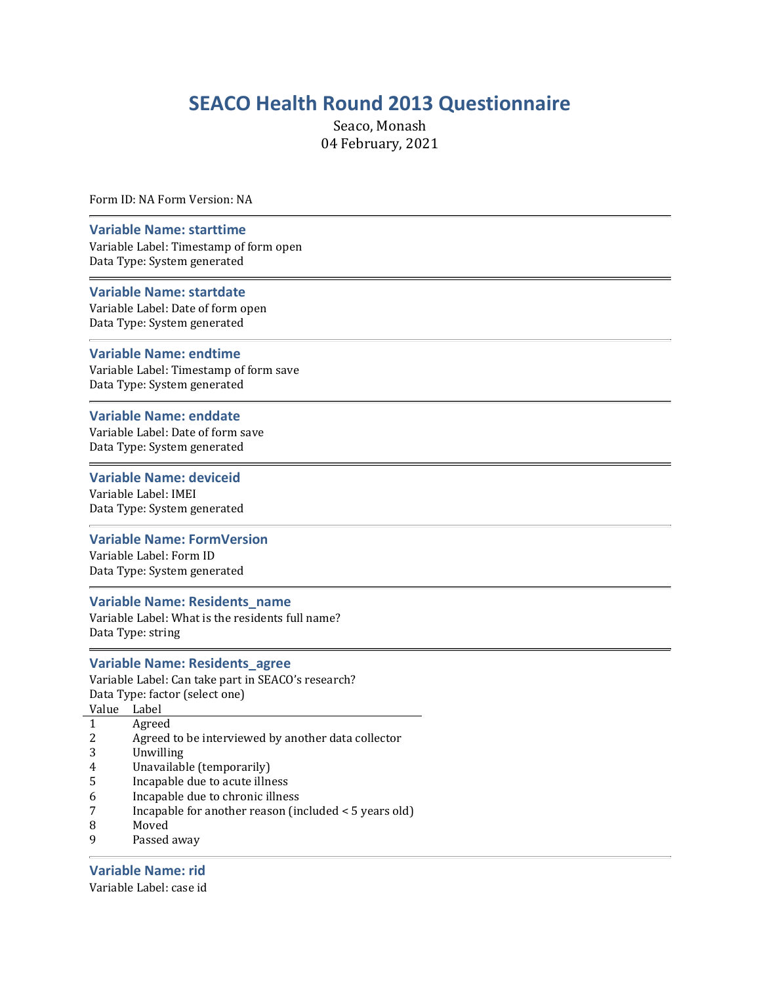# SEACO Health Round 2013 Questionnaire

Seaco, Monash 04 February, 2021

Form ID: NA Form Version: NA

#### Variable Name: starttime

Variable Label: Timestamp of form open Data Type: System generated

#### Variable Name: startdate

Variable Label: Date of form open Data Type: System generated

#### Variable Name: endtime

Variable Label: Timestamp of form save Data Type: System generated

#### Variable Name: enddate

Variable Label: Date of form save Data Type: System generated

#### Variable Name: deviceid

Variable Label: IMEI Data Type: System generated

#### Variable Name: FormVersion

Variable Label: Form ID Data Type: System generated

#### Variable Name: Residents\_name

Variable Label: What is the residents full name? Data Type: string

#### Variable Name: Residents\_agree

Variable Label: Can take part in SEACO's research? Data Type: factor (select one) Value Label

- 
- 1 Agreed
- 2 Agreed to be interviewed by another data collector
- 3 Unwilling
- 4 Unavailable (temporarily)
- 5 Incapable due to acute illness
- 6 Incapable due to chronic illness
- 7 Incapable for another reason (included < 5 years old)
- 8 Moved
- 9 Passed away

### Variable Name: rid

Variable Label: case id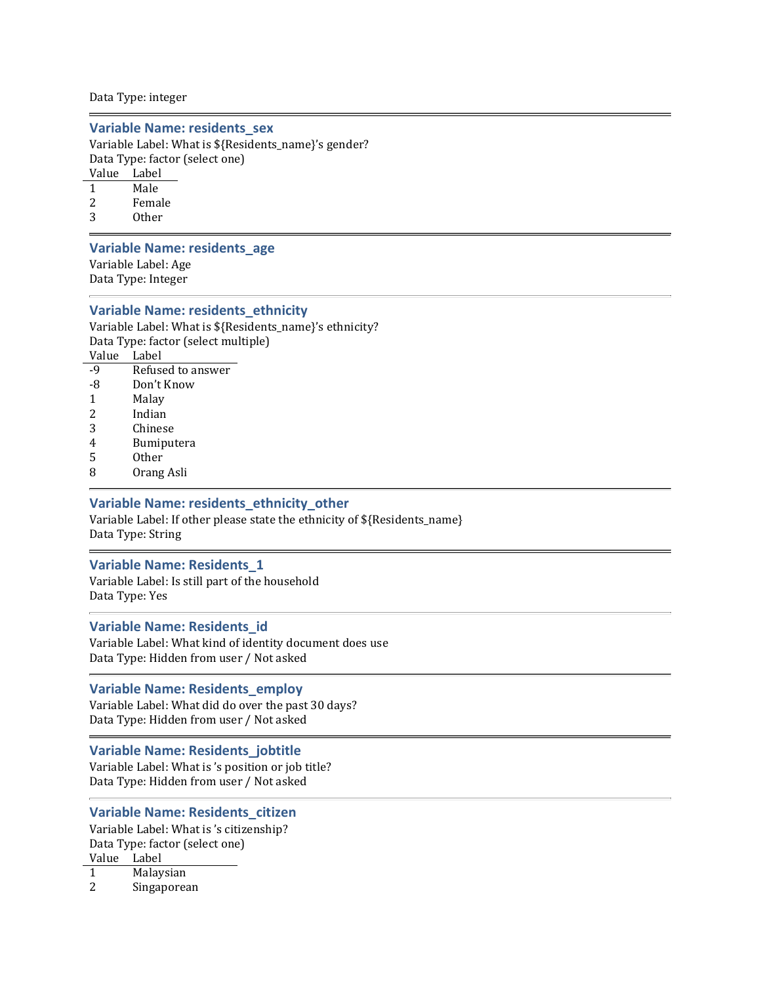#### Data Type: integer

#### Variable Name: residents\_sex

Variable Label: What is \${Residents\_name}'s gender? Data Type: factor (select one)

Value Label

- 1 Male
- 2 Female
- 3 Other

#### Variable Name: residents\_age

Variable Label: Age Data Type: Integer

#### Variable Name: residents\_ethnicity

Variable Label: What is \${Residents\_name}'s ethnicity? Data Type: factor (select multiple) Value Label -9 Refused to answer

- -8 Don't Know
- 1 Malay
- 2 Indian
- 3 Chinese
- 4 Bumiputera
- 5 Other
- 8 Orang Asli

#### Variable Name: residents\_ethnicity\_other

Variable Label: If other please state the ethnicity of \${Residents\_name} Data Type: String

#### Variable Name: Residents\_1

Variable Label: Is still part of the household Data Type: Yes

#### Variable Name: Residents\_id

Variable Label: What kind of identity document does use Data Type: Hidden from user / Not asked

#### Variable Name: Residents\_employ

Variable Label: What did do over the past 30 days? Data Type: Hidden from user / Not asked

#### Variable Name: Residents\_jobtitle

Variable Label: What is 's position or job title? Data Type: Hidden from user / Not asked

#### Variable Name: Residents\_citizen

Variable Label: What is 's citizenship? Data Type: factor (select one) Value Label 1 Malaysian

2 Singaporean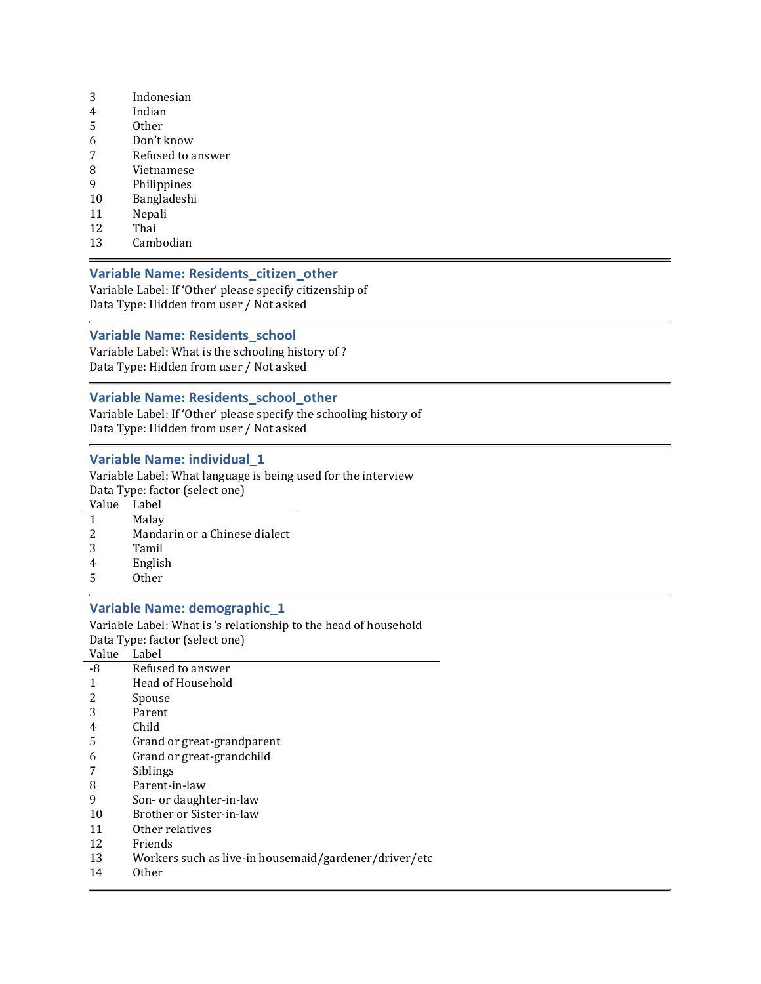- 3 Indonesian
- 4 Indian
- 5 Other
- 6 Don't know
- 7 Refused to answer
- 8 Vietnamese
- 9 Philippines
- 10 Bangladeshi
- 11 Nepali
- 12 Thai
- 13 Cambodian

### Variable Name: Residents\_citizen\_other

Variable Label: If 'Other' please specify citizenship of Data Type: Hidden from user / Not asked

### Variable Name: Residents\_school

Variable Label: What is the schooling history of ? Data Type: Hidden from user / Not asked

### Variable Name: Residents\_school\_other

Variable Label: If 'Other' please specify the schooling history of Data Type: Hidden from user / Not asked

### Variable Name: individual\_1

Variable Label: What language is being used for the interview Data Type: factor (select one)

- Value Label
- 1 Malay
- 2 Mandarin or a Chinese dialect
- 3 Tamil
- 4 English
- 5 Other

### Variable Name: demographic\_1

Variable Label: What is 's relationship to the head of household Data Type: factor (select one) Value Label

| vaiuc | нансі                                                 |
|-------|-------------------------------------------------------|
| -8    | Refused to answer                                     |
|       | Head of Household                                     |
|       | Spouse                                                |
| 3     | Parent                                                |
| 4     | Child                                                 |
| 5     | Grand or great-grandparent                            |
| 6     | Grand or great-grandchild                             |
|       | Siblings                                              |
| 8     | Parent-in-law                                         |
| 9     | Son- or daughter-in-law                               |
| 10    | Brother or Sister-in-law                              |
| 11    | Other relatives                                       |
| 12    | Friends                                               |
| 13    | Workers such as live-in housemaid/gardener/driver/etc |
|       |                                                       |

14 Other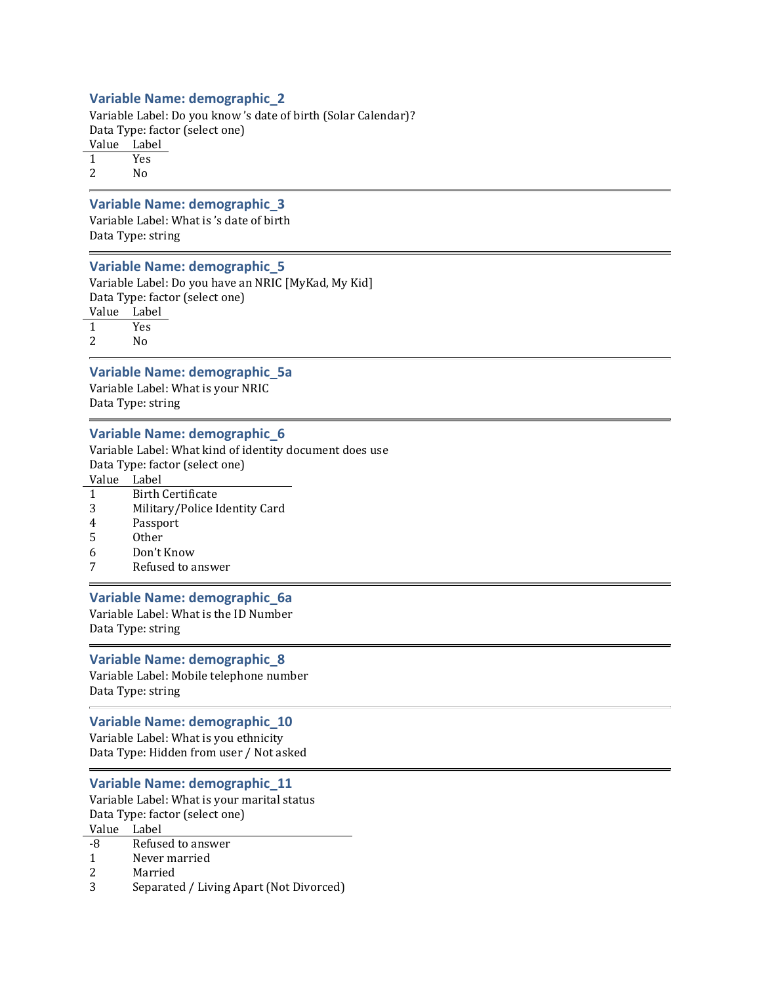### Variable Name: demographic\_2

Variable Label: Do you know 's date of birth (Solar Calendar)? Data Type: factor (select one) Value Label 1 Yes

2 No

#### Variable Name: demographic\_3

Variable Label: What is 's date of birth Data Type: string

#### Variable Name: demographic\_5

Variable Label: Do you have an NRIC [MyKad, My Kid] Data Type: factor (select one) Value Label

1 Yes

2 No

#### Variable Name: demographic\_5a

Variable Label: What is your NRIC Data Type: string

#### Variable Name: demographic\_6

Variable Label: What kind of identity document does use Data Type: factor (select one)

Value Label

- 1 Birth Certificate
- 3 Military/Police Identity Card
- 4 Passport
- 5 Other
- 6 Don't Know
- 7 Refused to answer

#### Variable Name: demographic\_6a

Variable Label: What is the ID Number Data Type: string

#### Variable Name: demographic\_8

Variable Label: Mobile telephone number Data Type: string

#### Variable Name: demographic\_10

Variable Label: What is you ethnicity Data Type: Hidden from user / Not asked

#### Variable Name: demographic\_11

Variable Label: What is your marital status Data Type: factor (select one) Value Label

| Refused to answer<br>-8 |
|-------------------------|
|-------------------------|

- 1 Never married
- 2 Married
- 3 Separated / Living Apart (Not Divorced)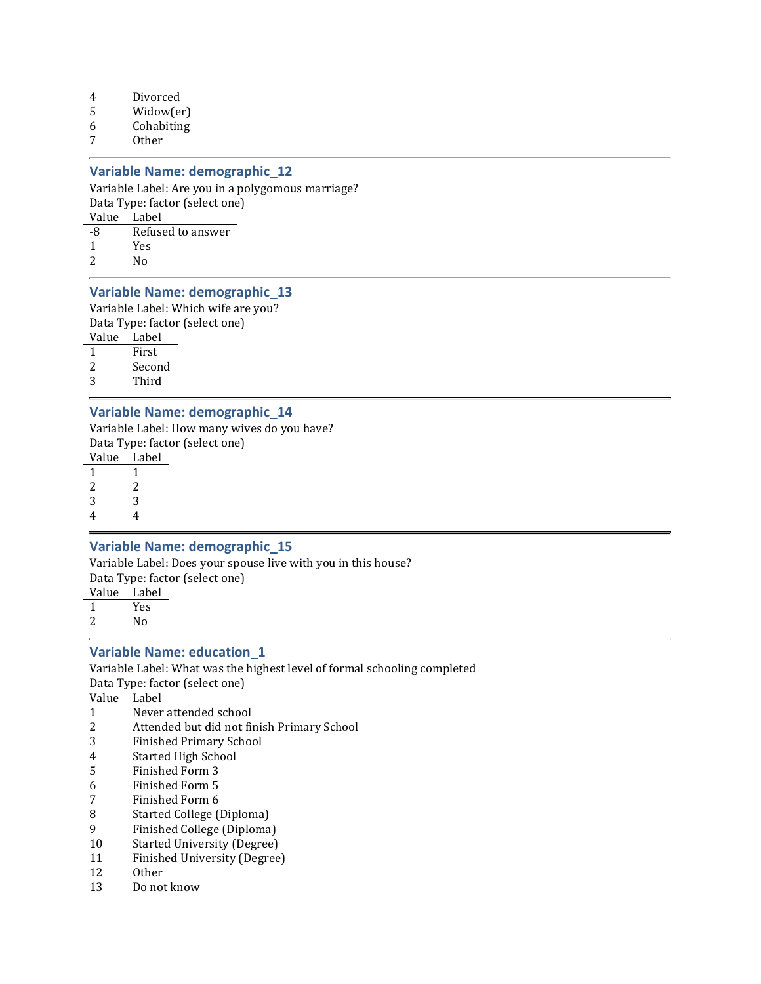- 4 Divorced
- 5 Widow(er)
- 6 Cohabiting
- 7 Other

### Variable Name: demographic\_12

Variable Label: Are you in a polygomous marriage? Data Type: factor (select one) Value Label

| -8 | Refused to answer |
|----|-------------------|
|----|-------------------|

- 1 Yes
- 2 No

### Variable Name: demographic\_13

Variable Label: Which wife are you? Data Type: factor (select one)

Value Label

- 1 First
- 2 Second
- 3 Third

#### Variable Name: demographic\_14

Variable Label: How many wives do you have? Data Type: factor (select one)

Value Label 1 1

2 2 3 3

4 4

#### Variable Name: demographic\_15

Variable Label: Does your spouse live with you in this house? Data Type: factor (select one)

Value Label 1 Yes 2 No

#### Variable Name: education\_1

Variable Label: What was the highest level of formal schooling completed Data Type: factor (select one)

Value Label

- 1 Never attended school
- 2 Attended but did not finish Primary School
- 3 Finished Primary School
- 4 Started High School
- 5 Finished Form 3
- 6 Finished Form 5
- 7 Finished Form 6
- 8 Started College (Diploma)
- 9 Finished College (Diploma)
- 10 Started University (Degree)
- 11 Finished University (Degree)
- 12 Other
- 13 Do not know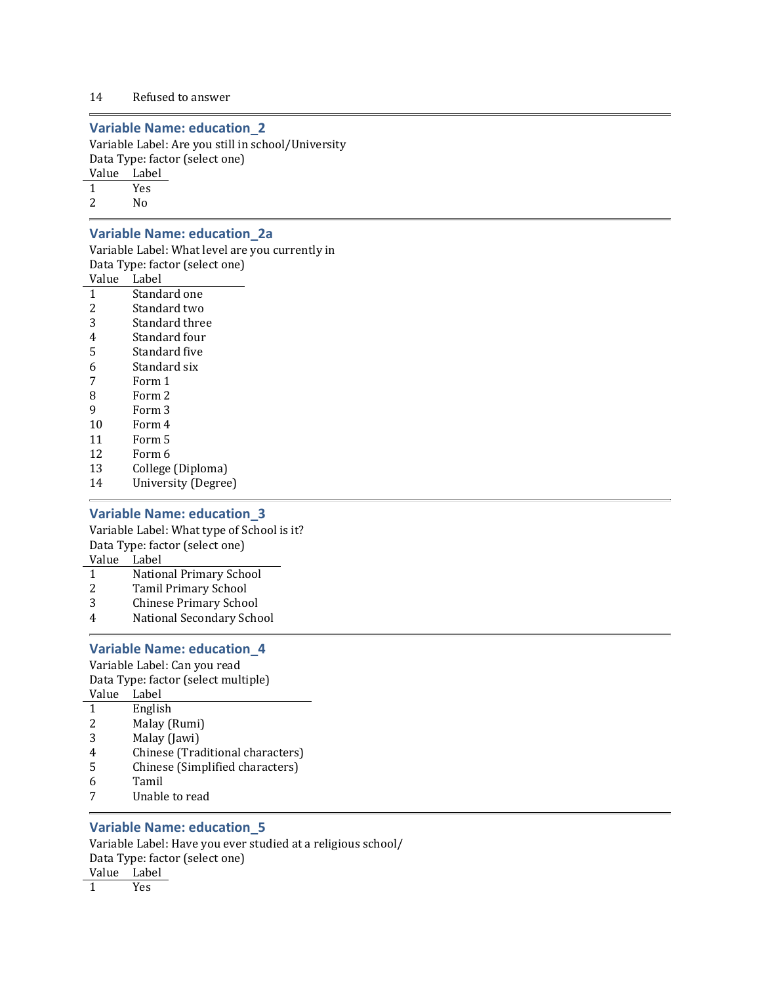### Variable Name: education\_2

Variable Label: Are you still in school/University Data Type: factor (select one)

Value Label

1 Yes

2 No

### Variable Name: education\_2a

Variable Label: What level are you currently in Data Type: factor (select one)

Value Label

- 1 Standard one
- 2 Standard two
- 3 Standard three
- 4 Standard four
- 5 Standard five
- 6 Standard six
- 7 Form 1
- 8 Form 2
- 9 Form 3
- 10 Form 4
- 11 Form 5
- 12 Form 6
- 13 College (Diploma)
- 14 University (Degree)

#### Variable Name: education\_3

Variable Label: What type of School is it? Data Type: factor (select one)

Value Label

- 1 National Primary School
- 2 Tamil Primary School
- 3 Chinese Primary School
- 4 National Secondary School

### Variable Name: education\_4

Variable Label: Can you read Data Type: factor (select multiple) Value Label 1 English

- 2 Malay (Rumi)
- 3 Malay (Jawi)
- 4 Chinese (Traditional characters)
- 5 Chinese (Simplified characters)
- 6 Tamil
- 7 Unable to read

### Variable Name: education\_5

Variable Label: Have you ever studied at a religious school/ Data Type: factor (select one) Value Label

1 Yes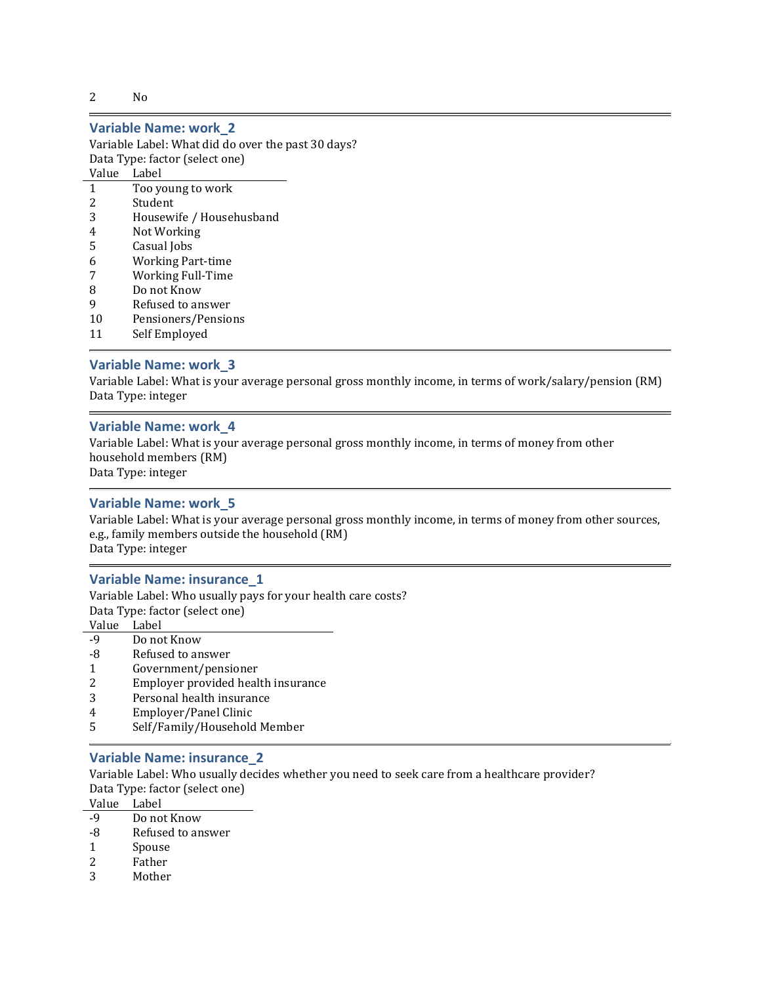2 No

#### Variable Name: work\_2

Variable Label: What did do over the past 30 days? Data Type: factor (select one)

Value Label

- 1 Too young to work
- 2 Student
- 3 Housewife / Househusband
- 4 Not Working
- 5 Casual Jobs
- 6 Working Part-time
- 7 Working Full-Time
- 8 Do not Know
- 9 Refused to answer
- 10 Pensioners/Pensions
- 11 Self Employed

#### Variable Name: work\_3

Variable Label: What is your average personal gross monthly income, in terms of work/salary/pension (RM) Data Type: integer

#### Variable Name: work\_4

Variable Label: What is your average personal gross monthly income, in terms of money from other household members (RM) Data Type: integer

#### Variable Name: work\_5

Variable Label: What is your average personal gross monthly income, in terms of money from other sources, e.g., family members outside the household (RM) Data Type: integer

#### Variable Name: insurance\_1

Variable Label: Who usually pays for your health care costs? Data Type: factor (select one) Value Label

- -9 Do not Know -8 Refused to answer
- 
- 1 Government/pensioner
- 2 Employer provided health insurance
- 3 Personal health insurance
- 4 Employer/Panel Clinic
- 5 Self/Family/Household Member

#### Variable Name: insurance\_2

Variable Label: Who usually decides whether you need to seek care from a healthcare provider? Data Type: factor (select one)

Value Label

- -9 Do not Know
- -8 Refused to answer
- 1 Spouse
- 2 Father
- 3 Mother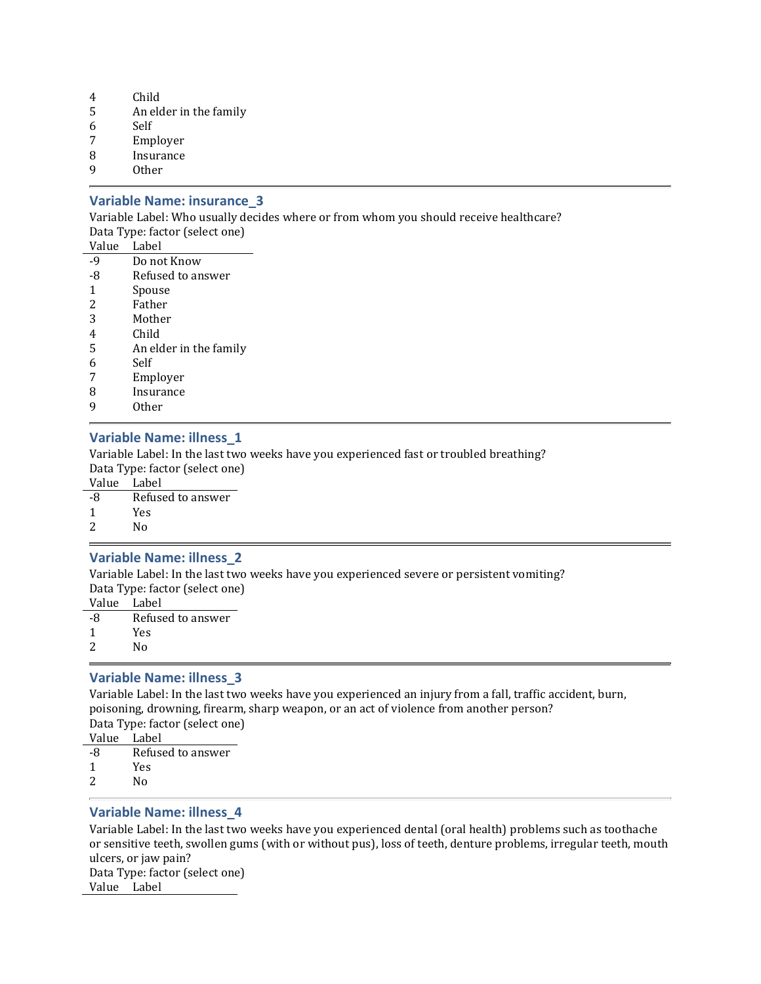- 4 Child
- 5 An elder in the family
- 6 Self
- 7 Employer
- 8 Insurance
- 9 Other

#### Variable Name: insurance\_3

Variable Label: Who usually decides where or from whom you should receive healthcare? Data Type: factor (select one)

| Value          | Label                  |
|----------------|------------------------|
| $-9$           | Do not Know            |
| -8             | Refused to answer      |
| 1              | Spouse                 |
| 2              | Father                 |
| 3              | Mother                 |
| $\overline{4}$ | Child                  |
| 5              | An elder in the family |
| 6              | Self                   |
| 7              | Employer               |
| 8              | Insurance              |
| 9              | Other                  |

### Variable Name: illness\_1

Variable Label: In the last two weeks have you experienced fast or troubled breathing? Data Type: factor (select one)

Value Label

- -8 Refused to answer
- 1 Yes
- 2 No

### Variable Name: illness\_2

Variable Label: In the last two weeks have you experienced severe or persistent vomiting? Data Type: factor (select one)

- Value Label
- -8 Refused to answer
- 1 Yes
- 2 No

### Variable Name: illness\_3

Variable Label: In the last two weeks have you experienced an injury from a fall, traffic accident, burn, poisoning, drowning, firearm, sharp weapon, or an act of violence from another person? Data Type: factor (select one)

- Value Label
- -8 Refused to answer
- 1 Yes 2 No
- 

### Variable Name: illness\_4

Variable Label: In the last two weeks have you experienced dental (oral health) problems such as toothache or sensitive teeth, swollen gums (with or without pus), loss of teeth, denture problems, irregular teeth, mouth ulcers, or jaw pain? Data Type: factor (select one) Value Label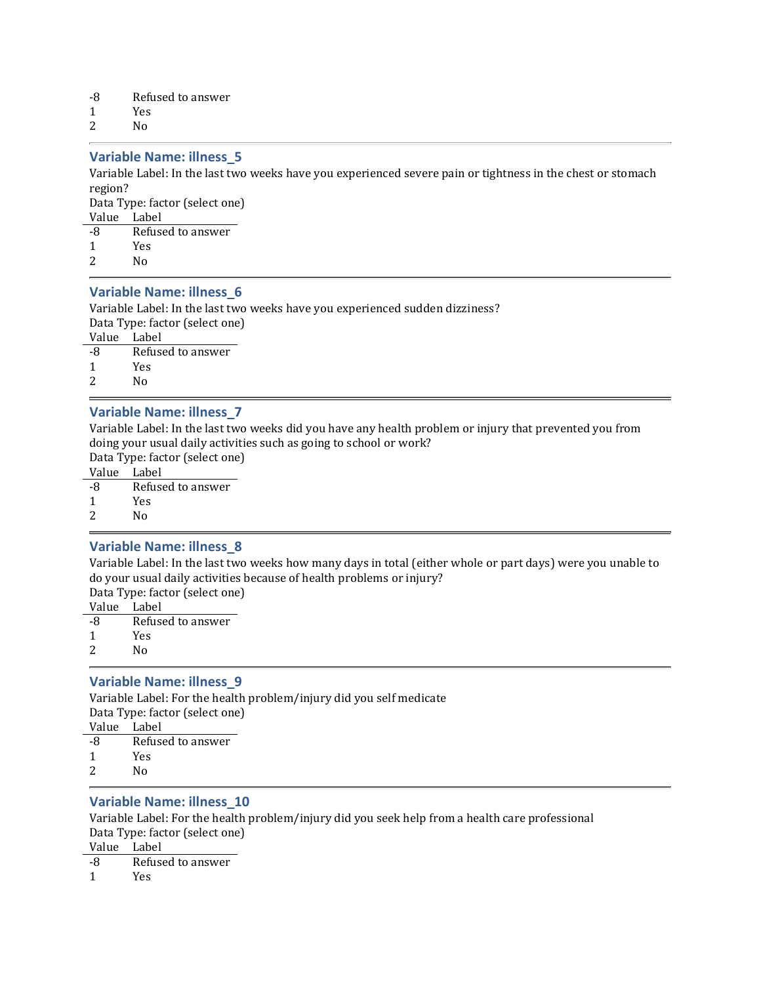- -8 Refused to answer
- 1 Yes

2 No

### Variable Name: illness\_5

Variable Label: In the last two weeks have you experienced severe pain or tightness in the chest or stomach region?

Data Type: factor (select one) Value Label

| vaiu | <b>LUU</b> ULI    |
|------|-------------------|
| -8   | Refused to answer |

- 1 Yes
- 2 No

### Variable Name: illness\_6

Variable Label: In the last two weeks have you experienced sudden dizziness? Data Type: factor (select one)

Value Label

-8 Refused to answer

1 Yes

2 No

### Variable Name: illness\_7

Variable Label: In the last two weeks did you have any health problem or injury that prevented you from doing your usual daily activities such as going to school or work?

Data Type: factor (select one)

Value Label

-8 Refused to answer

1 Yes

2 No

### Variable Name: illness\_8

Variable Label: In the last two weeks how many days in total (either whole or part days) were you unable to do your usual daily activities because of health problems or injury?

Data Type: factor (select one)

- Value Label
- -8 Refused to answer
- 1 Yes
- 2 No

### Variable Name: illness\_9

Variable Label: For the health problem/injury did you self medicate Data Type: factor (select one) Value Label -8 Refused to answer

- 1 Yes
- 2 No

### Variable Name: illness\_10

Variable Label: For the health problem/injury did you seek help from a health care professional Data Type: factor (select one)

Value Label

-8 Refused to answer

1 Yes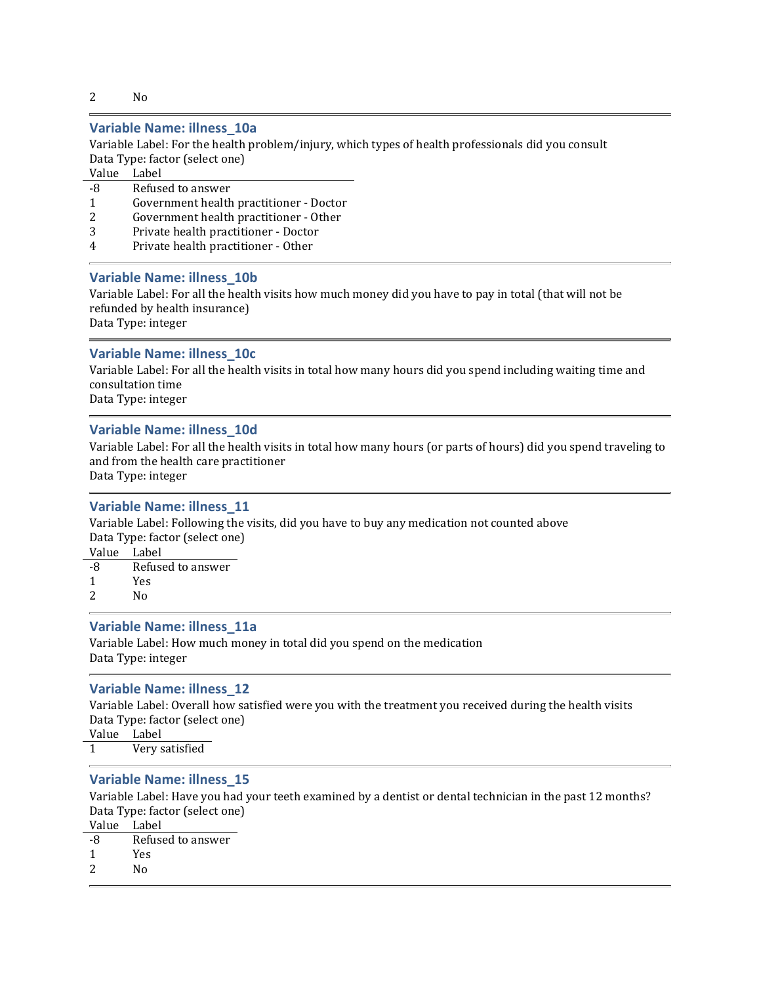2 No

### Variable Name: illness\_10a

Variable Label: For the health problem/injury, which types of health professionals did you consult Data Type: factor (select one)

Value Label

- -8 Refused to answer
- 1 Government health practitioner Doctor
- 2 Government health practitioner Other
- 3 Private health practitioner Doctor
- 4 Private health practitioner Other

#### Variable Name: illness\_10b

Variable Label: For all the health visits how much money did you have to pay in total (that will not be refunded by health insurance)

Data Type: integer

#### Variable Name: illness\_10c

Variable Label: For all the health visits in total how many hours did you spend including waiting time and consultation time

Data Type: integer

### Variable Name: illness\_10d

Variable Label: For all the health visits in total how many hours (or parts of hours) did you spend traveling to and from the health care practitioner

Data Type: integer

### Variable Name: illness\_11

Variable Label: Following the visits, did you have to buy any medication not counted above Data Type: factor (select one)

Value Label

- -8 Refused to answer
- 1 Yes
- 2 No

#### Variable Name: illness\_11a

Variable Label: How much money in total did you spend on the medication Data Type: integer

#### Variable Name: illness\_12

Variable Label: Overall how satisfied were you with the treatment you received during the health visits Data Type: factor (select one) Value Label

1 Very satisfied

#### Variable Name: illness\_15

Variable Label: Have you had your teeth examined by a dentist or dental technician in the past 12 months? Data Type: factor (select one) Value Label

- -8 Refused to answer
- 1 Yes
- 2 No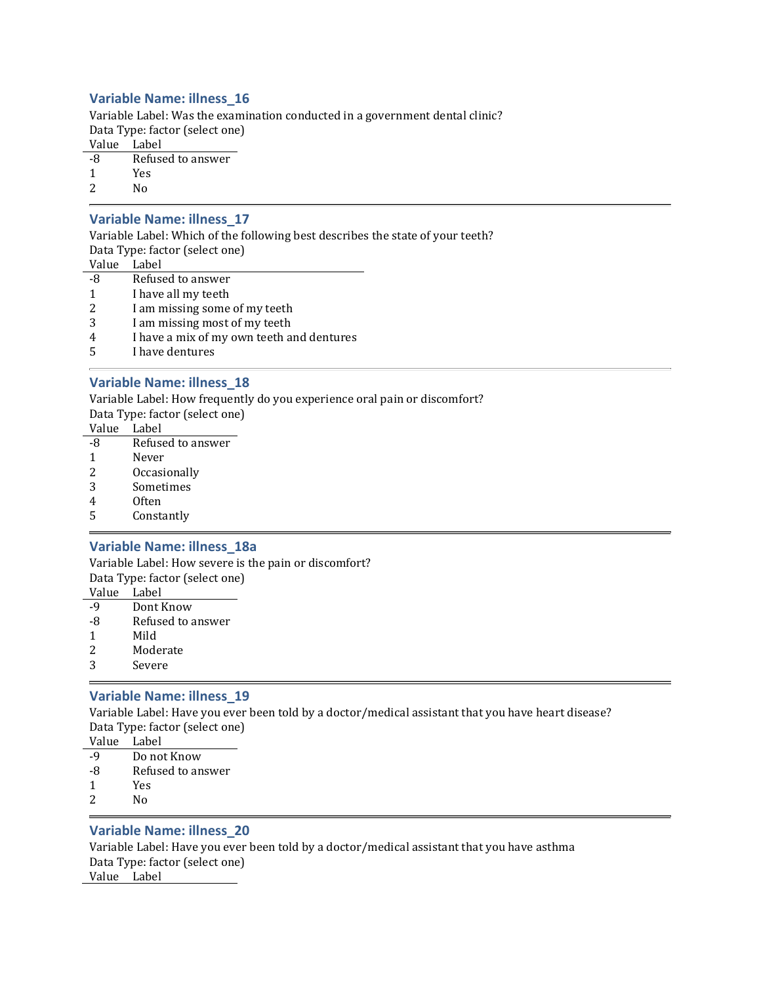### Variable Name: illness\_16

Variable Label: Was the examination conducted in a government dental clinic? Data Type: factor (select one)

Value Label

- -8 Refused to answer
- 1 Yes
- 2  $N_0$

### Variable Name: illness\_17

Variable Label: Which of the following best describes the state of your teeth? Data Type: factor (select one)

- Value Label
- -8 Refused to answer
- 1 I have all my teeth
- 2 I am missing some of my teeth
- 3 I am missing most of my teeth
- 4 I have a mix of my own teeth and dentures
- 5 I have dentures

### Variable Name: illness\_18

Variable Label: How frequently do you experience oral pain or discomfort?

Data Type: factor (select one)

- Value Label
- -8 Refused to answer
- 1 Never
- 2 Occasionally
- 3 Sometimes
- 4 Often
- 5 Constantly

### Variable Name: illness\_18a

Variable Label: How severe is the pain or discomfort? Data Type: factor (select one)

- Value Label
- -9 Dont Know -8 Refused to answer
- 1 Mild
- 
- 2 Moderate
- 3 Severe

### Variable Name: illness\_19

Variable Label: Have you ever been told by a doctor/medical assistant that you have heart disease? Data Type: factor (select one)

| Value | Label |
|-------|-------|
|       |       |

- -9 Do not Know
- -8 Refused to answer
- 1 Yes
- 2 No

### Variable Name: illness\_20

Variable Label: Have you ever been told by a doctor/medical assistant that you have asthma Data Type: factor (select one) Value Label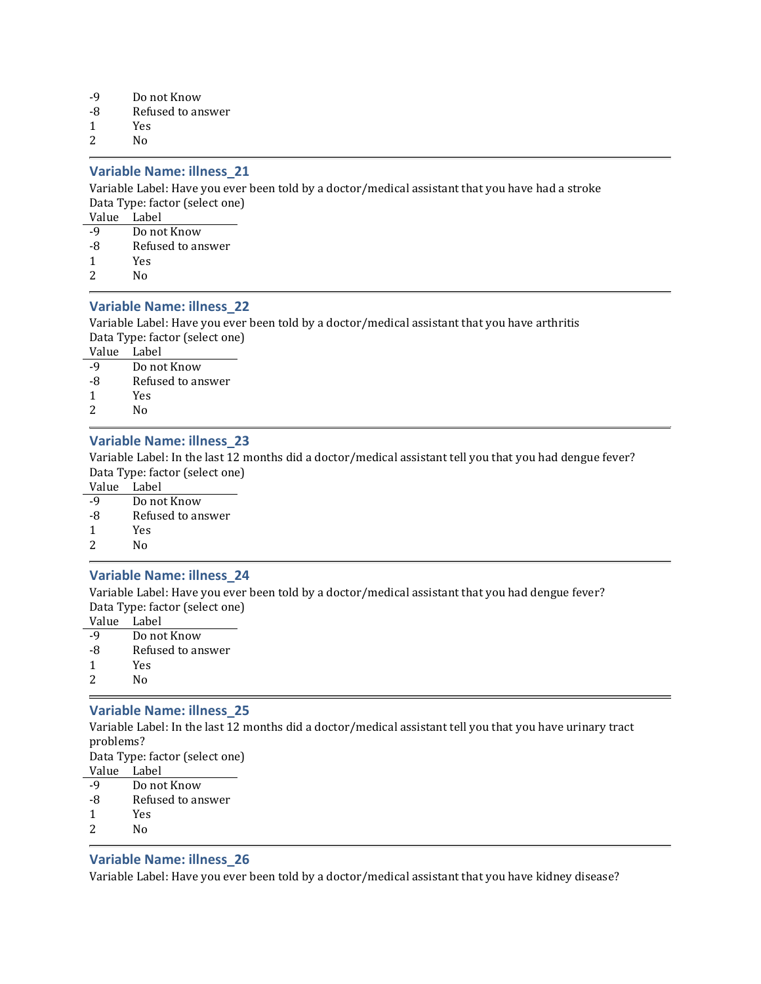- -9 Do not Know
- -8 Refused to answer
- 1 Yes
- 2 No

### Variable Name: illness\_21

Variable Label: Have you ever been told by a doctor/medical assistant that you have had a stroke Data Type: factor (select one)

Value Label

- -9 Do not Know
- -8 Refused to answer
- 1 Yes
- 2 No

### Variable Name: illness\_22

Variable Label: Have you ever been told by a doctor/medical assistant that you have arthritis Data Type: factor (select one)

Value Label

- -9 Do not Know -8 Refused to answer
- 1 Yes
- 2 No

### Variable Name: illness\_23

Variable Label: In the last 12 months did a doctor/medical assistant tell you that you had dengue fever? Data Type: factor (select one)

Value Label

- -9 Do not Know
- -8 Refused to answer
- 1 Yes
- 2 No

#### Variable Name: illness\_24

Variable Label: Have you ever been told by a doctor/medical assistant that you had dengue fever? Data Type: factor (select one)

- Value Label
- -9 Do not Know
- -8 Refused to answer
- 1 Yes
- 2 No

### Variable Name: illness\_25

Variable Label: In the last 12 months did a doctor/medical assistant tell you that you have urinary tract problems? Data Type: factor (select one)

- Value Label
- -9 Do not Know
- -8 Refused to answer
- 1 Yes
- 2 No

### Variable Name: illness\_26

Variable Label: Have you ever been told by a doctor/medical assistant that you have kidney disease?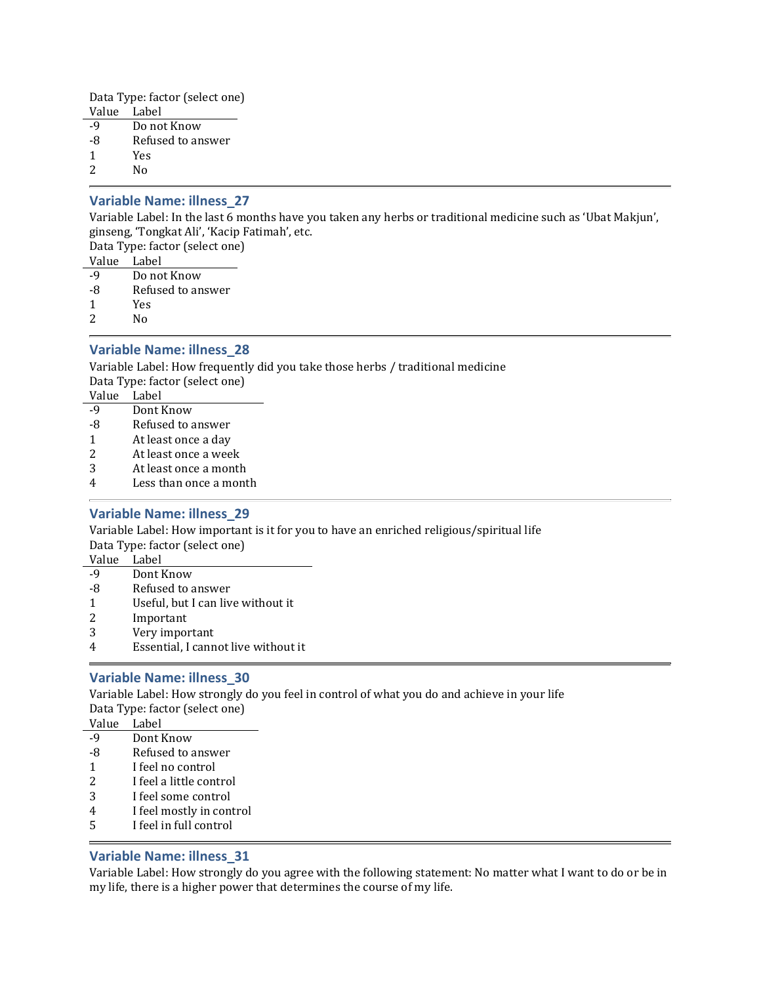Data Type: factor (select one) Value Label

- -9 Do not Know
- -8 Refused to answer
- 1 Yes

2 No

### Variable Name: illness\_27

Variable Label: In the last 6 months have you taken any herbs or traditional medicine such as 'Ubat Makjun', ginseng, 'Tongkat Ali', 'Kacip Fatimah', etc.

Data Type: factor (select one)

- Value Label -9 Do not Know
- -8 Refused to answer
- 
- 1 Yes
- 2 No

### Variable Name: illness\_28

Variable Label: How frequently did you take those herbs / traditional medicine Data Type: factor (select one)

- Value Label
- -9 Dont Know
- -8 Refused to answer
- 1 At least once a day
- 2 At least once a week
- 3 At least once a month
- 4 Less than once a month

### Variable Name: illness\_29

Variable Label: How important is it for you to have an enriched religious/spiritual life Data Type: factor (select one)

- Value Label
- -9 Dont Know
- -8 Refused to answer
- 1 Useful, but I can live without it
- 2 Important
- 3 Very important
- 4 Essential, I cannot live without it

### Variable Name: illness\_30

Variable Label: How strongly do you feel in control of what you do and achieve in your life Data Type: factor (select one)

- Value Label
- -9 Dont Know
- -8 Refused to answer
- 1 I feel no control
- 2 I feel a little control
- 3 I feel some control
- 4 I feel mostly in control
- 5 I feel in full control

### Variable Name: illness\_31

Variable Label: How strongly do you agree with the following statement: No matter what I want to do or be in my life, there is a higher power that determines the course of my life.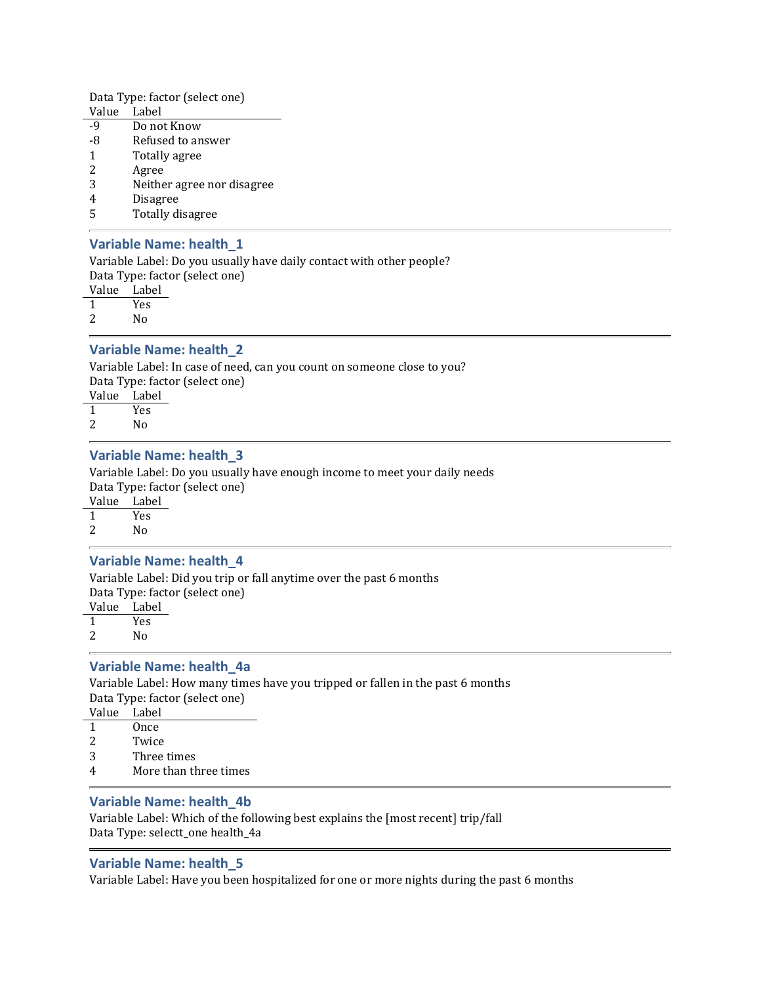Data Type: factor (select one)

- Value Label
- -9 Do not Know
- -8 Refused to answer
- 1 Totally agree
- 2 Agree
- 3 Neither agree nor disagree
- 4 Disagree
- 5 Totally disagree

### Variable Name: health\_1

Variable Label: Do you usually have daily contact with other people? Data Type: factor (select one)

Value Label

1 Yes

2 No

### Variable Name: health\_2

Variable Label: In case of need, can you count on someone close to you? Data Type: factor (select one) Value Label

1 Yes 2 No

### Variable Name: health\_3

Variable Label: Do you usually have enough income to meet your daily needs Data Type: factor (select one)

Value Label

1 Yes

# 2 No

### Variable Name: health\_4

Variable Label: Did you trip or fall anytime over the past 6 months

Data Type: factor (select one)

Value Label

1 Yes

2 No

### Variable Name: health\_4a

Variable Label: How many times have you tripped or fallen in the past 6 months Data Type: factor (select one)

- Value Label
- 1 Once
- 2 Twice
- 3 Three times
- 4 More than three times

### Variable Name: health\_4b

Variable Label: Which of the following best explains the [most recent] trip/fall Data Type: selectt\_one health\_4a

### Variable Name: health\_5

Variable Label: Have you been hospitalized for one or more nights during the past 6 months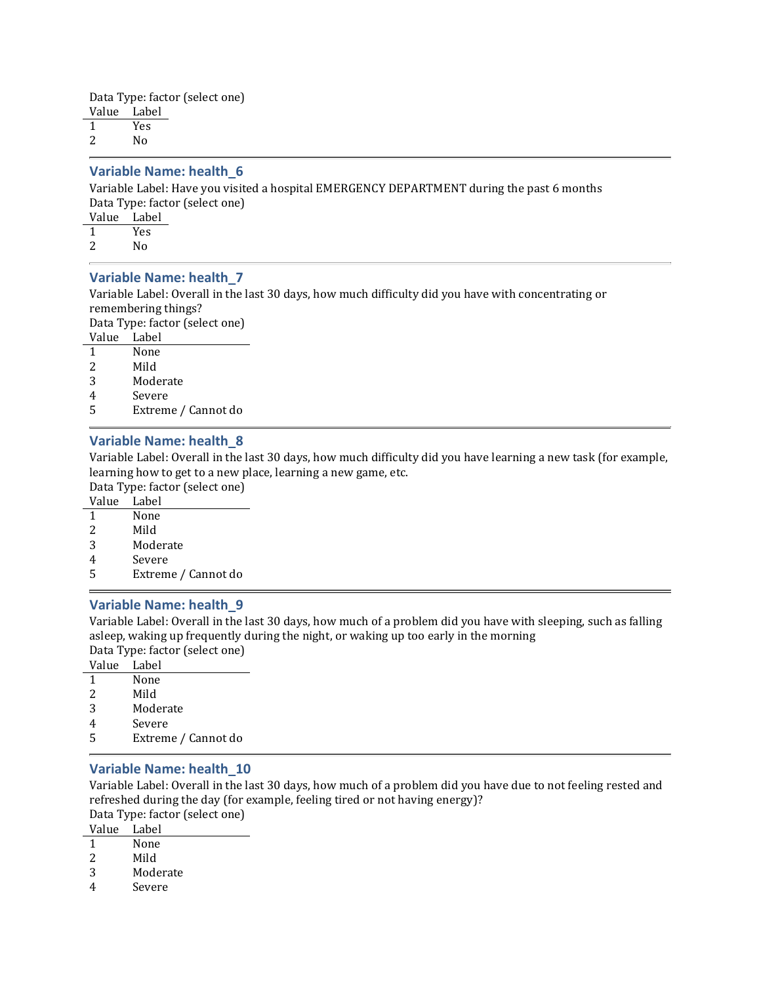Data Type: factor (select one) Value Label 1 Yes 2 No

#### Variable Name: health\_6

Variable Label: Have you visited a hospital EMERGENCY DEPARTMENT during the past 6 months Data Type: factor (select one)

Value Label

1 Yes

2 No

#### Variable Name: health\_7

Variable Label: Overall in the last 30 days, how much difficulty did you have with concentrating or remembering things?

Data Type: factor (select one)

Value Label

1 None

- 2 Mild
- 3 Moderate
- 4 Severe
- 5 Extreme / Cannot do

### Variable Name: health\_8

Variable Label: Overall in the last 30 days, how much difficulty did you have learning a new task (for example, learning how to get to a new place, learning a new game, etc.

Data Type: factor (select one)

| Value | Label |
|-------|-------|
|       |       |

- 1 None
- 2 Mild
- 3 Moderate
- 4 Severe
- 5 Extreme / Cannot do

#### Variable Name: health\_9

Variable Label: Overall in the last 30 days, how much of a problem did you have with sleeping, such as falling asleep, waking up frequently during the night, or waking up too early in the morning Data Type: factor (select one)

Value Label

- 1 None
- 2 Mild
- 3 Moderate
- 4 Severe
- 5 Extreme / Cannot do

### Variable Name: health\_10

Variable Label: Overall in the last 30 days, how much of a problem did you have due to not feeling rested and refreshed during the day (for example, feeling tired or not having energy)? Data Type: factor (select one)

Value Label

- 1 None
- 2 Mild
- 
- 3 Moderate
- 4 Severe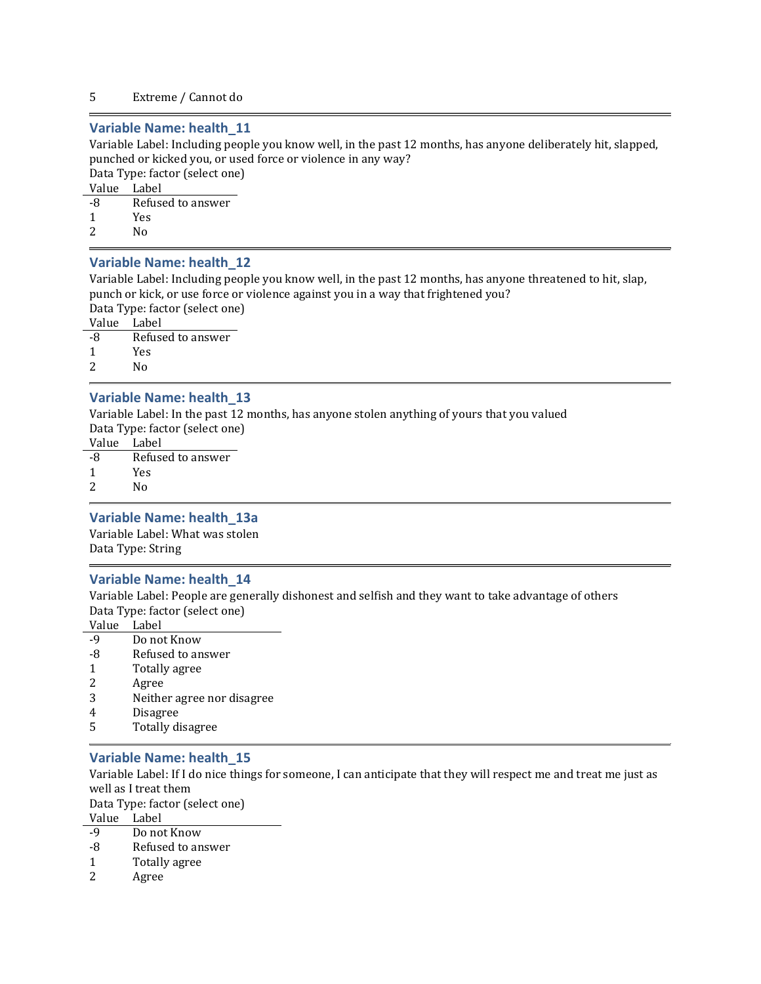#### 5 Extreme / Cannot do

### Variable Name: health\_11

Variable Label: Including people you know well, in the past 12 months, has anyone deliberately hit, slapped, punched or kicked you, or used force or violence in any way?

Data Type: factor (select one)

Value Label

-8 Refused to answer 1 Yes 2  $N_0$ 

### Variable Name: health\_12

Variable Label: Including people you know well, in the past 12 months, has anyone threatened to hit, slap, punch or kick, or use force or violence against you in a way that frightened you?

Data Type: factor (select one)

Value Label

-8 Refused to answer 1 Yes

2 No

### Variable Name: health\_13

Variable Label: In the past 12 months, has anyone stolen anything of yours that you valued Data Type: factor (select one)

Value Label

-8 Refused to answer

1 Yes

2 No

#### Variable Name: health\_13a

Variable Label: What was stolen Data Type: String

#### Variable Name: health\_14

Variable Label: People are generally dishonest and selfish and they want to take advantage of others Data Type: factor (select one)

Value Label

- -9 Do not Know
- -8 Refused to answer
- 1 Totally agree
- 2 Agree
- 3 Neither agree nor disagree
- 4 Disagree
- 5 Totally disagree

#### Variable Name: health\_15

Variable Label: If I do nice things for someone, I can anticipate that they will respect me and treat me just as well as I treat them

Data Type: factor (select one)

Value Label

- -9 Do not Know
- -8 Refused to answer
- 1 Totally agree
- 2 Agree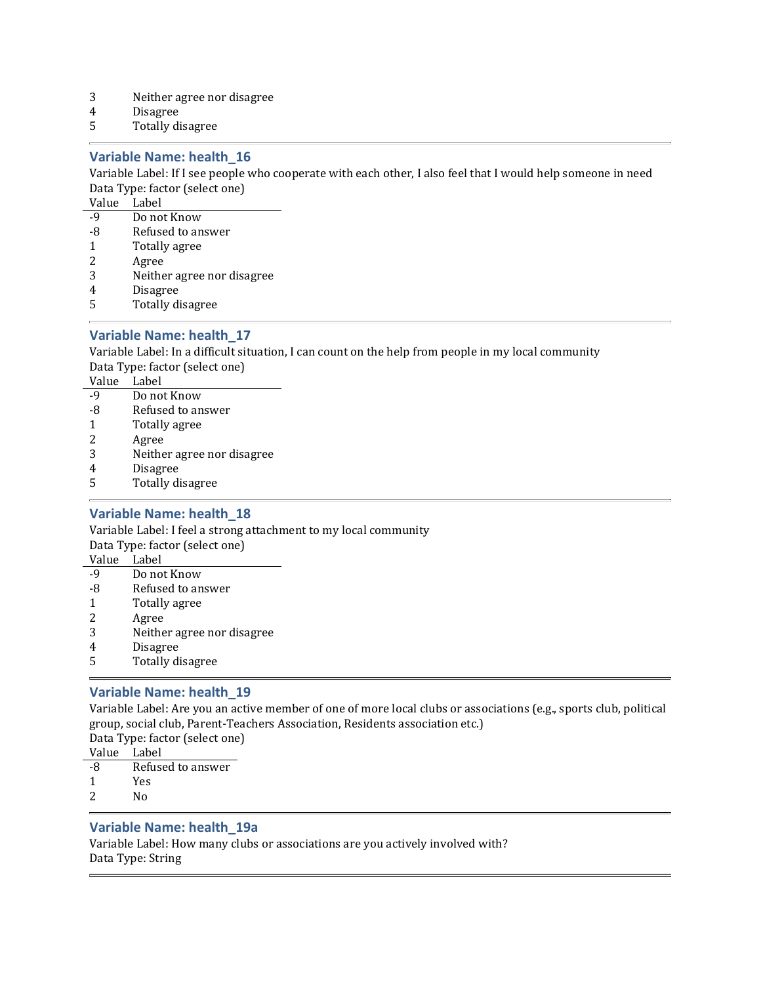- 3 Neither agree nor disagree
- 4 Disagree
- 5 Totally disagree

### Variable Name: health\_16

Variable Label: If I see people who cooperate with each other, I also feel that I would help someone in need Data Type: factor (select one)

Value Label

- -9 Do not Know
- -8 Refused to answer
- 1 Totally agree
- 2 Agree
- 3 Neither agree nor disagree
- 4 Disagree
- 5 Totally disagree

### Variable Name: health\_17

Variable Label: In a difficult situation, I can count on the help from people in my local community Data Type: factor (select one)

Value Label

- -9 Do not Know
- -8 Refused to answer
- 1 Totally agree
- 2 Agree
- 3 Neither agree nor disagree
- 4 Disagree
- 5 Totally disagree

### Variable Name: health\_18

Variable Label: I feel a strong attachment to my local community Data Type: factor (select one)

Value Label

- -9 Do not Know
- -8 Refused to answer
- 1 Totally agree
- 2 Agree
- 3 Neither agree nor disagree
- 4 Disagree
- 5 Totally disagree

### Variable Name: health\_19

Variable Label: Are you an active member of one of more local clubs or associations (e.g., sports club, political group, social club, Parent-Teachers Association, Residents association etc.) Data Type: factor (select one)

Value Label

- -8 Refused to answer
- 1 Yes
- 2 No

### Variable Name: health\_19a

Variable Label: How many clubs or associations are you actively involved with? Data Type: String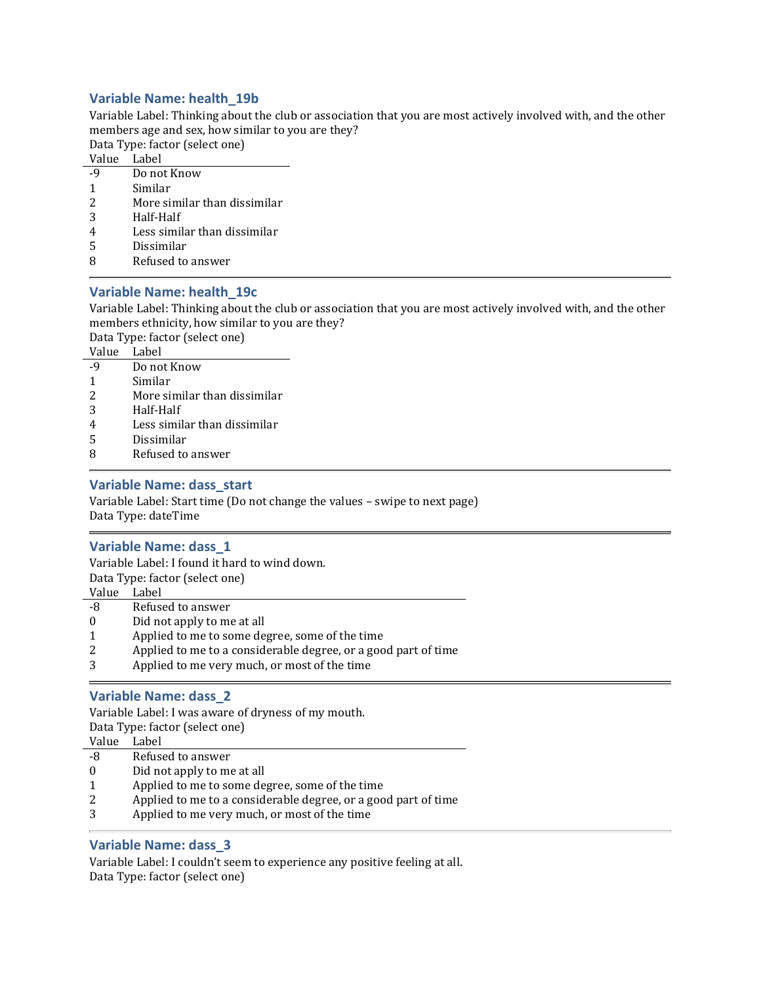### Variable Name: health\_19b

Variable Label: Thinking about the club or association that you are most actively involved with, and the other members age and sex, how similar to you are they?

Data Type: factor (select one)

Value Label

- -9 Do not Know
- 1 Similar
- 2 More similar than dissimilar
- 3 Half-Half
- 4 Less similar than dissimilar
- 5 Dissimilar
- 8 Refused to answer

### Variable Name: health\_19c

Variable Label: Thinking about the club or association that you are most actively involved with, and the other members ethnicity, how similar to you are they?

Data Type: factor (select one)

|--|

- -9 Do not Know
- 1 Similar
- 2 More similar than dissimilar
- 3 Half-Half
- 4 Less similar than dissimilar
- 5 Dissimilar
- 8 Refused to answer

#### Variable Name: dass\_start

Variable Label: Start time (Do not change the values – swipe to next page) Data Type: dateTime

#### Variable Name: dass\_1

Variable Label: I found it hard to wind down. Data Type: factor (select one)

Value Label

- -8 Refused to answer
- 0 Did not apply to me at all
- 1 Applied to me to some degree, some of the time
- 2 Applied to me to a considerable degree, or a good part of time
- 3 Applied to me very much, or most of the time

### Variable Name: dass\_2

Variable Label: I was aware of dryness of my mouth. Data Type: factor (select one) Value Label

- -8 Refused to answer
- 0 Did not apply to me at all
- 1 Applied to me to some degree, some of the time
- 2 Applied to me to a considerable degree, or a good part of time
- 3 Applied to me very much, or most of the time

### Variable Name: dass\_3

Variable Label: I couldn't seem to experience any positive feeling at all. Data Type: factor (select one)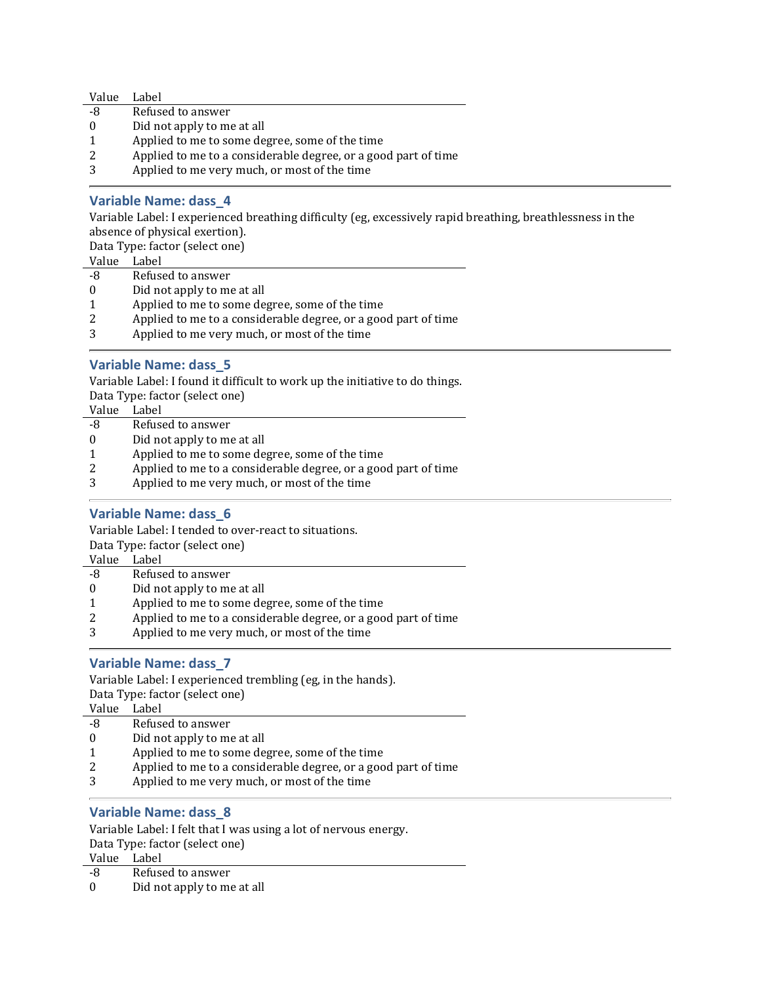| Value    | Label                                                          |  |
|----------|----------------------------------------------------------------|--|
| -8       | Refused to answer                                              |  |
| $\theta$ | Did not apply to me at all                                     |  |
|          | Applied to me to some degree, some of the time                 |  |
|          | Applied to me to a considerable degree, or a good part of time |  |
|          | Applied to me very much, or most of the time                   |  |

### Variable Name: dass\_4

Variable Label: I experienced breathing difficulty (eg, excessively rapid breathing, breathlessness in the absence of physical exertion).

Data Type: factor (select one)

Value Label

- -8 Refused to answer
- 0 Did not apply to me at all
- 1 Applied to me to some degree, some of the time
- 2 Applied to me to a considerable degree, or a good part of time
- 3 Applied to me very much, or most of the time

### Variable Name: dass\_5

Variable Label: I found it difficult to work up the initiative to do things.

Data Type: factor (select one)

| Value    | Label                                                          |
|----------|----------------------------------------------------------------|
| -8       | Refused to answer                                              |
| $\theta$ | Did not apply to me at all                                     |
|          | Applied to me to some degree, some of the time                 |
| 2        | Applied to me to a considerable degree, or a good part of time |
|          |                                                                |

3 Applied to me very much, or most of the time

### Variable Name: dass\_6

Variable Label: I tended to over-react to situations.

Data Type: factor (select one)

Value Label

- -8 Refused to answer
- 0 Did not apply to me at all
- 1 Applied to me to some degree, some of the time
- 2 Applied to me to a considerable degree, or a good part of time
- 3 Applied to me very much, or most of the time

### Variable Name: dass\_7

Variable Label: I experienced trembling (eg, in the hands). Data Type: factor (select one)

Value Label

- -8 Refused to answer
- 0 Did not apply to me at all
- 1 Applied to me to some degree, some of the time
- 2 Applied to me to a considerable degree, or a good part of time
- 3 Applied to me very much, or most of the time

### Variable Name: dass\_8

Variable Label: I felt that I was using a lot of nervous energy. Data Type: factor (select one)

Value Label

-8 Refused to answer

0 Did not apply to me at all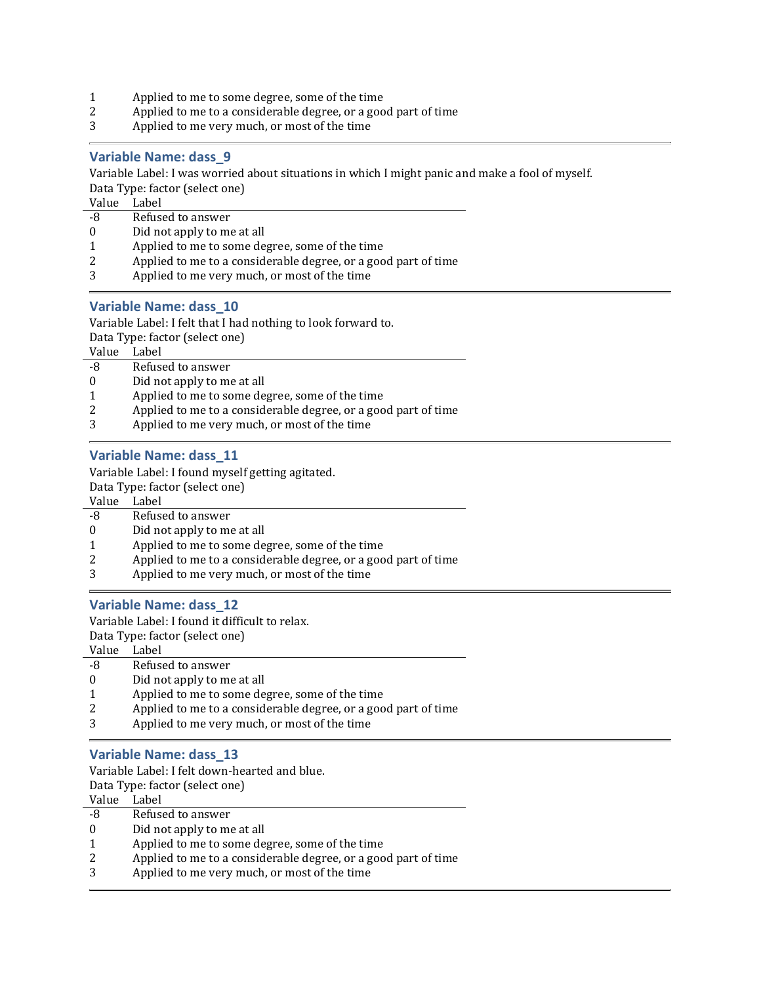- 1 Applied to me to some degree, some of the time<br>2 Applied to me to a considerable degree, or a goo
- 2 Applied to me to a considerable degree, or a good part of time
- 3 Applied to me very much, or most of the time

#### Variable Name: dass\_9

Variable Label: I was worried about situations in which I might panic and make a fool of myself. Data Type: factor (select one)

Value Label

- -8 Refused to answer
- 0 Did not apply to me at all
- 1 Applied to me to some degree, some of the time
- 2 Applied to me to a considerable degree, or a good part of time
- 3 Applied to me very much, or most of the time

### Variable Name: dass\_10

Variable Label: I felt that I had nothing to look forward to.

Data Type: factor (select one)

Value Label

- -8 Refused to answer
- 0 Did not apply to me at all
- 1 Applied to me to some degree, some of the time
- 2 Applied to me to a considerable degree, or a good part of time
- 3 Applied to me very much, or most of the time

### Variable Name: dass\_11

Variable Label: I found myself getting agitated.

Data Type: factor (select one)

Value Label

- -8 Refused to answer
- 0 Did not apply to me at all
- 1 Applied to me to some degree, some of the time
- 2 Applied to me to a considerable degree, or a good part of time
- 3 Applied to me very much, or most of the time

#### Variable Name: dass\_12

Variable Label: I found it difficult to relax.

Data Type: factor (select one)

Value Label

- -8 Refused to answer
- 0 Did not apply to me at all
- 1 Applied to me to some degree, some of the time
- 2 Applied to me to a considerable degree, or a good part of time
- 3 Applied to me very much, or most of the time

#### Variable Name: dass\_13

Variable Label: I felt down-hearted and blue.

Data Type: factor (select one)

| Value | Label |  |
|-------|-------|--|
|       |       |  |

- -8 Refused to answer
- 0 Did not apply to me at all
- 1 Applied to me to some degree, some of the time
- 2 Applied to me to a considerable degree, or a good part of time
- 3 Applied to me very much, or most of the time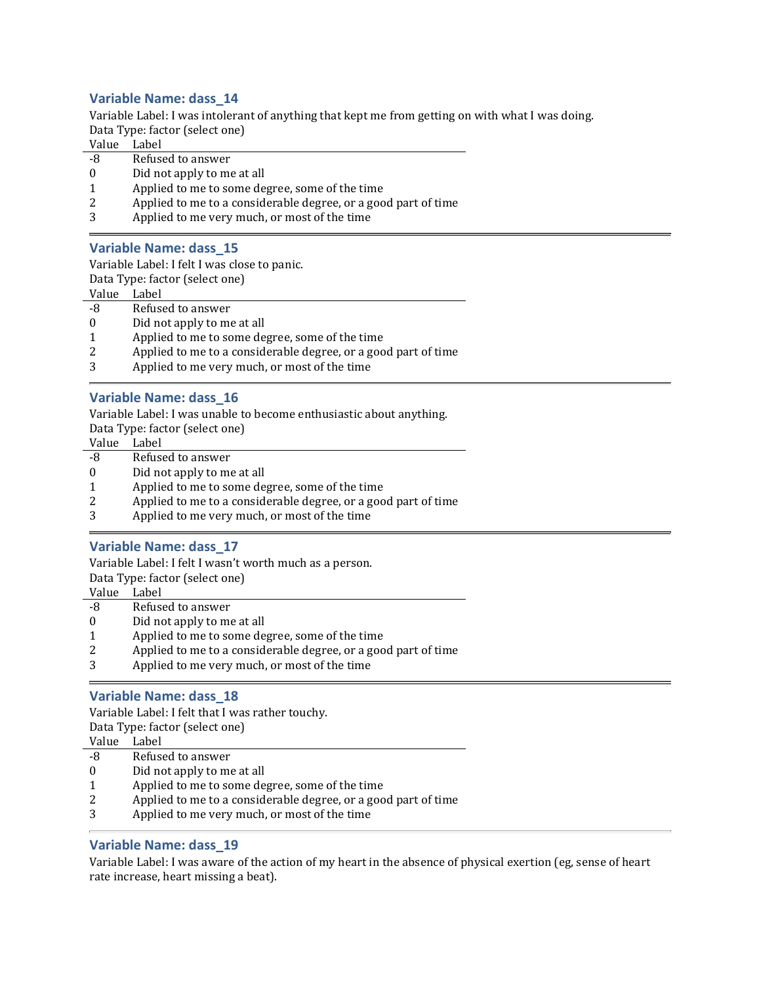### Variable Name: dass\_14

Variable Label: I was intolerant of anything that kept me from getting on with what I was doing. Data Type: factor (select one)

Value Label

- -8 Refused to answer
- 0 Did not apply to me at all
- 1 Applied to me to some degree, some of the time
- 2 Applied to me to a considerable degree, or a good part of time
- 3 Applied to me very much, or most of the time

#### Variable Name: dass\_15

Variable Label: I felt I was close to panic.

Data Type: factor (select one)

Value Label

- -8 Refused to answer
- 0 Did not apply to me at all
- 1 Applied to me to some degree, some of the time
- 2 Applied to me to a considerable degree, or a good part of time
- 3 Applied to me very much, or most of the time

#### Variable Name: dass\_16

Variable Label: I was unable to become enthusiastic about anything.

Data Type: factor (select one)

- Value Label
- -8 Refused to answer
- 0 Did not apply to me at all
- 1 Applied to me to some degree, some of the time
- 2 Applied to me to a considerable degree, or a good part of time
- 3 Applied to me very much, or most of the time

### Variable Name: dass\_17

Variable Label: I felt I wasn't worth much as a person.

Data Type: factor (select one)

Value Label

- -8 Refused to answer 0 Did not apply to me at all
- 1 Applied to me to some degree, some of the time
- 2 Applied to me to a considerable degree, or a good part of time
- 3 Applied to me very much, or most of the time

#### Variable Name: dass\_18

Variable Label: I felt that I was rather touchy. Data Type: factor (select one)

Value Label

- -8 Refused to answer
- 0 Did not apply to me at all
- 1 Applied to me to some degree, some of the time
- 2 Applied to me to a considerable degree, or a good part of time
- 3 Applied to me very much, or most of the time

### Variable Name: dass\_19

Variable Label: I was aware of the action of my heart in the absence of physical exertion (eg, sense of heart rate increase, heart missing a beat).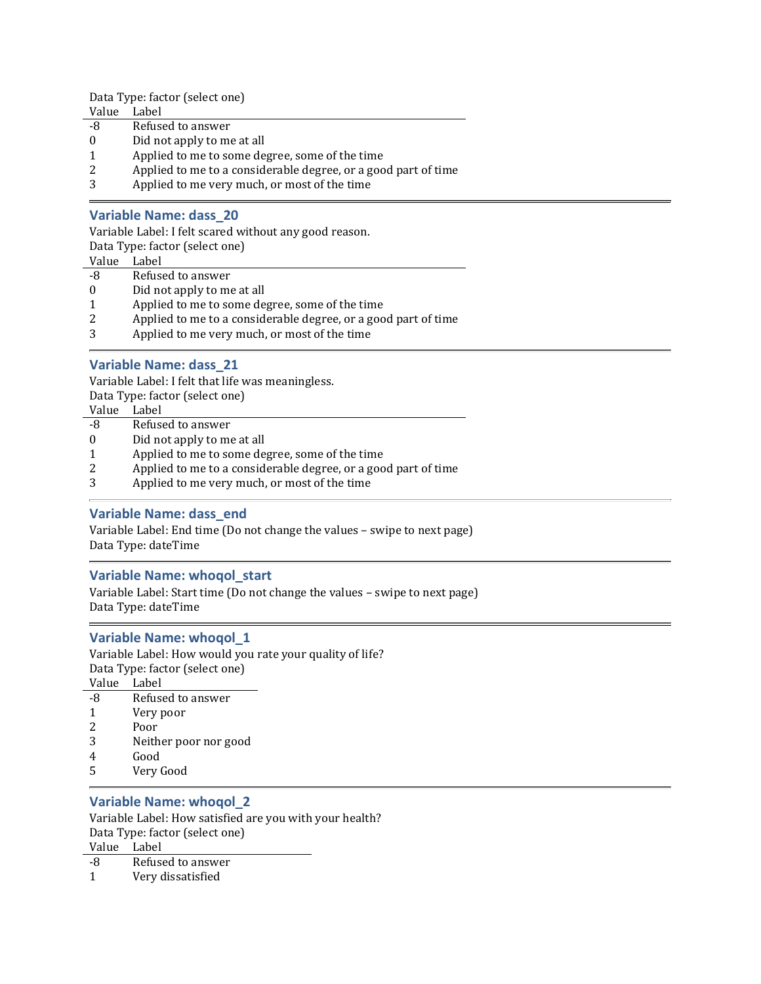Data Type: factor (select one)

- Value Label
- -8 Refused to answer
- 0 Did not apply to me at all
- 1 Applied to me to some degree, some of the time
- 2 Applied to me to a considerable degree, or a good part of time
- 3 Applied to me very much, or most of the time

### Variable Name: dass\_20

Variable Label: I felt scared without any good reason.

Data Type: factor (select one)

- Value Label
- -8 Refused to answer
- 0 Did not apply to me at all
- 1 Applied to me to some degree, some of the time
- 2 Applied to me to a considerable degree, or a good part of time
- 3 Applied to me very much, or most of the time

### Variable Name: dass\_21

Variable Label: I felt that life was meaningless. Data Type: factor (select one)

| Did not apply to me at all                                     |
|----------------------------------------------------------------|
| Applied to me to some degree, some of the time                 |
| Applied to me to a considerable degree, or a good part of time |
| Applied to me very much, or most of the time                   |
|                                                                |

### Variable Name: dass\_end

Variable Label: End time (Do not change the values – swipe to next page) Data Type: dateTime

### Variable Name: whoqol\_start

Variable Label: Start time (Do not change the values – swipe to next page) Data Type: dateTime

### Variable Name: whoqol\_1

Variable Label: How would you rate your quality of life? Data Type: factor (select one)  $-1$ 

| Value | Label                 |
|-------|-----------------------|
| -8    | Refused to answer     |
| 1     | Very poor             |
| 2     | Poor                  |
| 3     | Neither poor nor good |
| 4     | Good                  |
| 5     | Very Good             |
|       |                       |

#### Variable Name: whoqol\_2

Variable Label: How satisfied are you with your health? Data Type: factor (select one)

Value Label

-8 Refused to answer

1 Very dissatisfied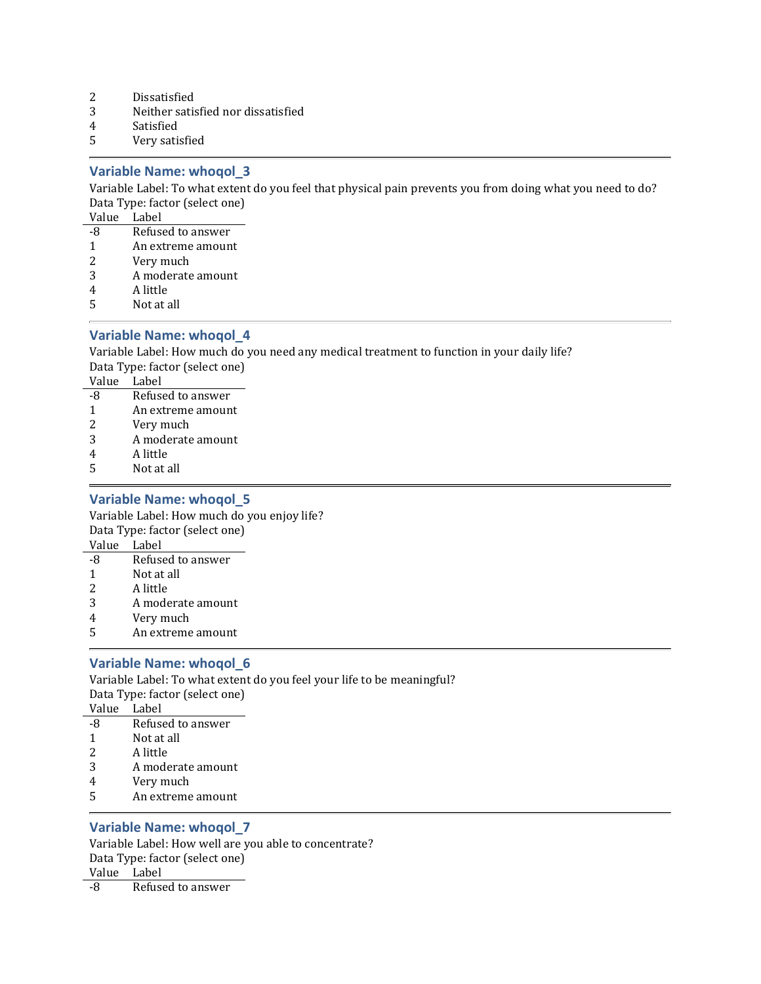- 2 Dissatisfied
- 3 Neither satisfied nor dissatisfied
- 4 Satisfied
- 5 Very satisfied

#### Variable Name: whoqol\_3

Variable Label: To what extent do you feel that physical pain prevents you from doing what you need to do? Data Type: factor (select one)

Value Label

- -8 Refused to answer
- 1 An extreme amount
- 2 Very much
- 3 A moderate amount
- 4 A little
- 5 Not at all

### Variable Name: whoqol\_4

Variable Label: How much do you need any medical treatment to function in your daily life? Data Type: factor (select one) Value Label

- -8 Refused to answer
- 1 An extreme amount
- 2 Very much
- 3 A moderate amount
- 4 A little
- 5 Not at all

### Variable Name: whoqol\_5

Variable Label: How much do you enjoy life? Data Type: factor (select one)

- Value Label -8 Refused to answer
- 1 Not at all
- 2 A little
- 3 A moderate amount
- 4 Very much
- 5 An extreme amount

### Variable Name: whoqol\_6

Variable Label: To what extent do you feel your life to be meaningful? Data Type: factor (select one) Value Label

- -8 Refused to answer
- 1 Not at all
- 2 A little
- 3 A moderate amount
- 4 Very much
- 5 An extreme amount

#### Variable Name: whoqol\_7

Variable Label: How well are you able to concentrate? Data Type: factor (select one) Value Label

-8 Refused to answer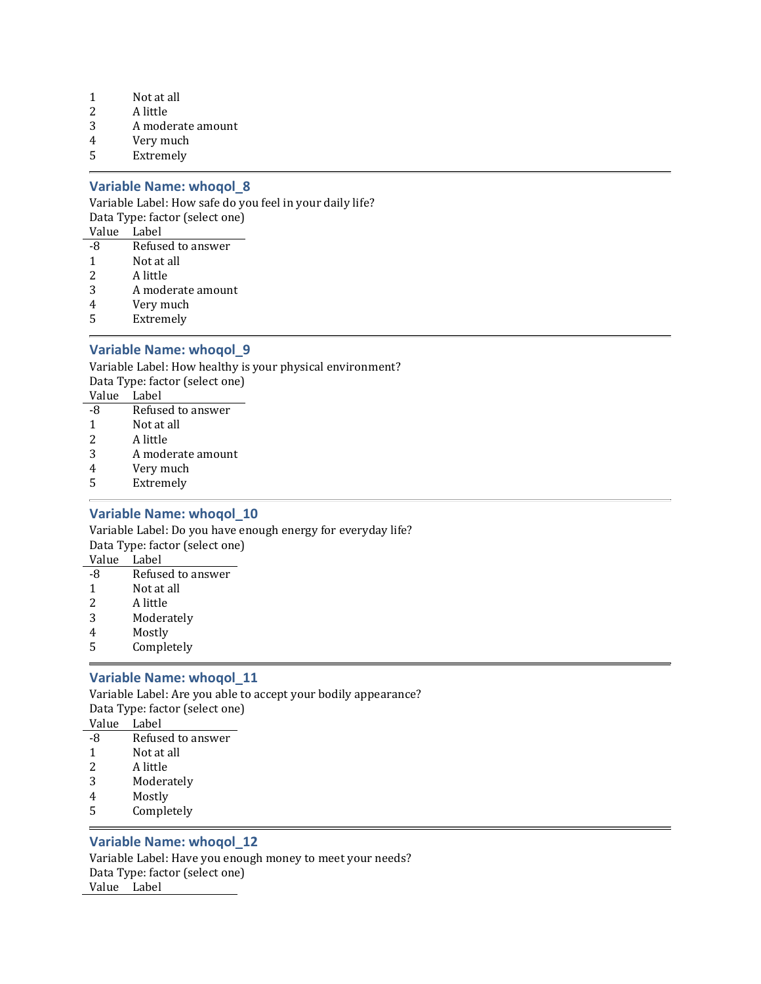- 1 Not at all
- 2 A little
- 3 A moderate amount
- 4 Very much
- 5 Extremely

#### Variable Name: whoqol\_8

Variable Label: How safe do you feel in your daily life?

Data Type: factor (select one)

Value Label

- -8 Refused to answer
- 1 Not at all
- 2 A little
- 3 A moderate amount
- 4 Very much
- 5 Extremely

### Variable Name: whoqol\_9

Variable Label: How healthy is your physical environment? Data Type: factor (select one) Value Label

| , and |                   |
|-------|-------------------|
| -8    | Refused to answer |
| -1    | Not at all        |
| 2     | A little          |

- 3 A moderate amount
- 4 Very much
- 5 Extremely

### Variable Name: whoqol\_10

Variable Label: Do you have enough energy for everyday life? Data Type: factor (select one) Value Label

- -8 Refused to answer
- 1 Not at all
- 2 A little
- 3 Moderately
- 4 Mostly
- 5 Completely

### Variable Name: whoqol\_11

Variable Label: Are you able to accept your bodily appearance? Data Type: factor (select one) Value Label

- -8 Refused to answer
- 1 Not at all
- 2 A little
- 3 Moderately
- 4 Mostly
- 5 Completely

### Variable Name: whoqol\_12

Variable Label: Have you enough money to meet your needs? Data Type: factor (select one) Value Label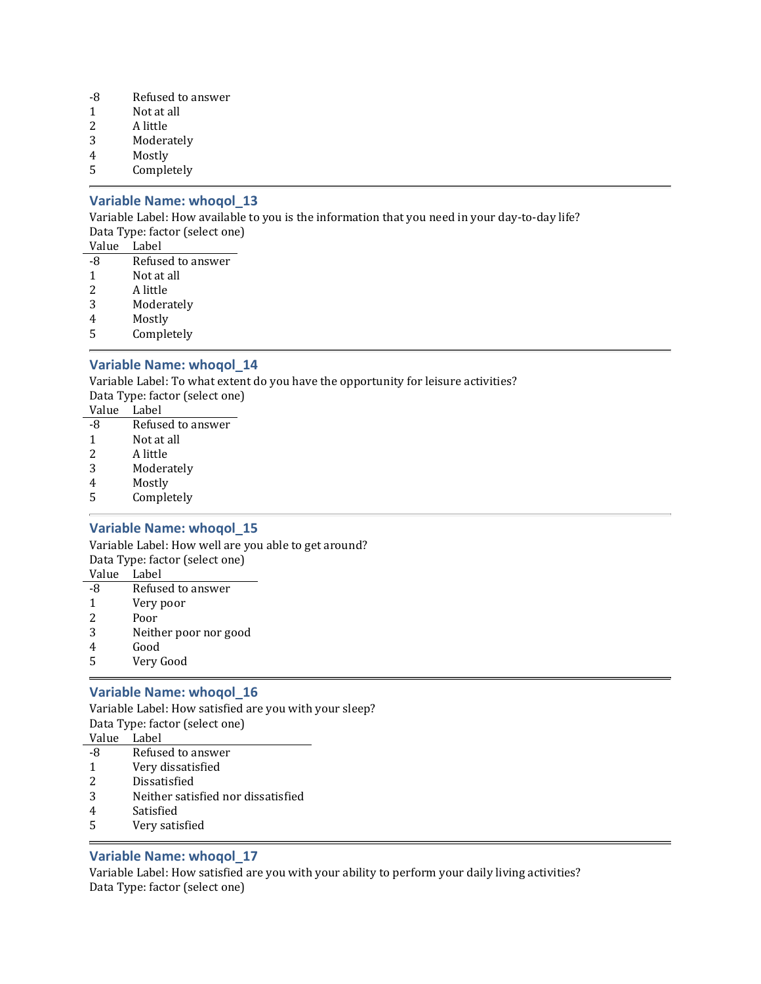- -8 Refused to answer
- 1 Not at all
- 2 A little
- 3 Moderately
- 4 Mostly
- 5 Completely

### Variable Name: whoqol\_13

Variable Label: How available to you is the information that you need in your day-to-day life? Data Type: factor (select one)

| Value | Label |
|-------|-------|
|       |       |

- -8 Refused to answer 1 Not at all
- 2 A little
- 
- 3 Moderately
- 4 Mostly
- 5 Completely

### Variable Name: whoqol\_14

Variable Label: To what extent do you have the opportunity for leisure activities? Data Type: factor (select one)

| Value | Label |
|-------|-------|

| -8 | Refused to answer |
|----|-------------------|
| 1  | Not at all        |
| 2  | A little          |
| 3  | Moderately        |
|    |                   |

- 4 Mostly
- 5 Completely

### Variable Name: whoqol\_15

Variable Label: How well are you able to get around? Data Type: factor (select one) Value Label

- -8 Refused to answer
- 1 Very poor
- 2 Poor
- 3 Neither poor nor good
- 4 Good
- 5 Very Good

### Variable Name: whoqol\_16

Variable Label: How satisfied are you with your sleep? Data Type: factor (select one) Value Label

- -8 Refused to answer
- 1 Very dissatisfied
- 2 Dissatisfied
- 3 Neither satisfied nor dissatisfied
- 4 Satisfied
- 5 Very satisfied

### Variable Name: whoqol\_17

Variable Label: How satisfied are you with your ability to perform your daily living activities? Data Type: factor (select one)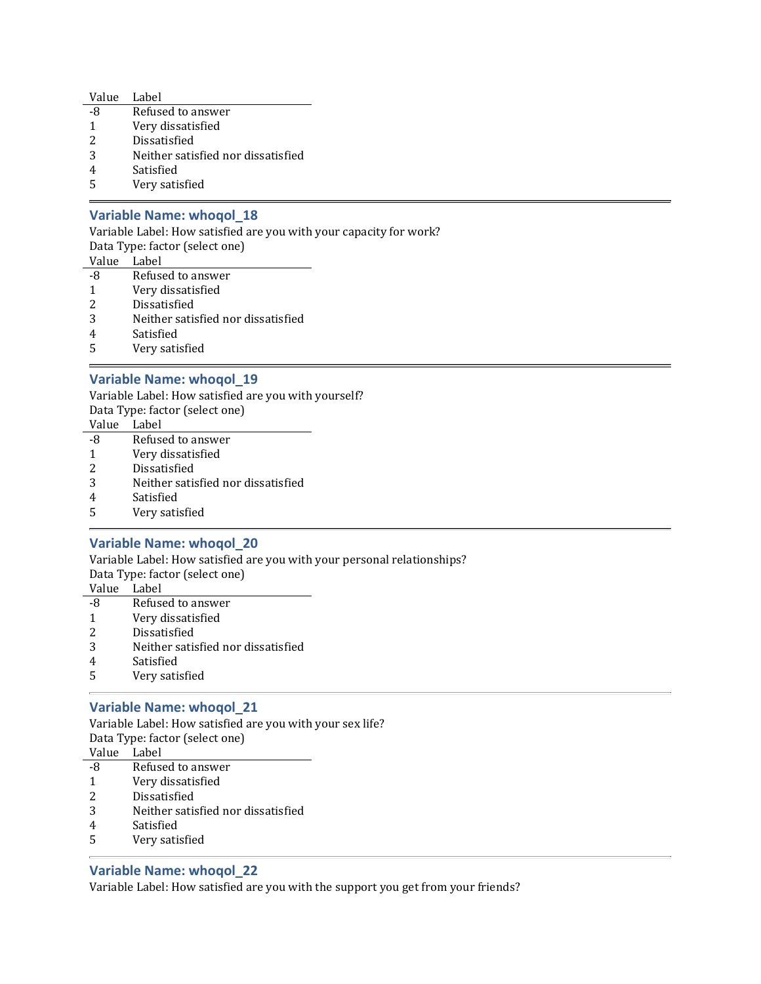| Value | Label                              |
|-------|------------------------------------|
| -8    | Refused to answer                  |
| 1     | Very dissatisfied                  |
| 2     | Dissatisfied                       |
| 3     | Neither satisfied nor dissatisfied |
|       | Satisfied                          |
|       |                                    |

5 Very satisfied

### Variable Name: whoqol\_18

Variable Label: How satisfied are you with your capacity for work? Data Type: factor (select one) Value Label -8 Refused to answer

- 1 Very dissatisfied
- 2 Dissatisfied
- 3 Neither satisfied nor dissatisfied
- 4 Satisfied
- 5 Very satisfied

### Variable Name: whoqol\_19

Variable Label: How satisfied are you with yourself? Data Type: factor (select one) Value Label

- -8 Refused to answer
- 1 Very dissatisfied
- 2 Dissatisfied
- 3 Neither satisfied nor dissatisfied
- 4 Satisfied
- 5 Very satisfied

### Variable Name: whoqol\_20

Variable Label: How satisfied are you with your personal relationships? Data Type: factor (select one) Value Label -8 Refused to answer

- 1 Very dissatisfied
- 2 Dissatisfied
- 
- 3 Neither satisfied nor dissatisfied
- 4 Satisfied
- 5 Very satisfied

### Variable Name: whoqol\_21

Variable Label: How satisfied are you with your sex life? Data Type: factor (select one) Value Label -8 Refused to answer 1 Very dissatisfied

- 2 Dissatisfied
- 3 Neither satisfied nor dissatisfied
- 4 Satisfied
- 5 Very satisfied

### Variable Name: whoqol\_22

Variable Label: How satisfied are you with the support you get from your friends?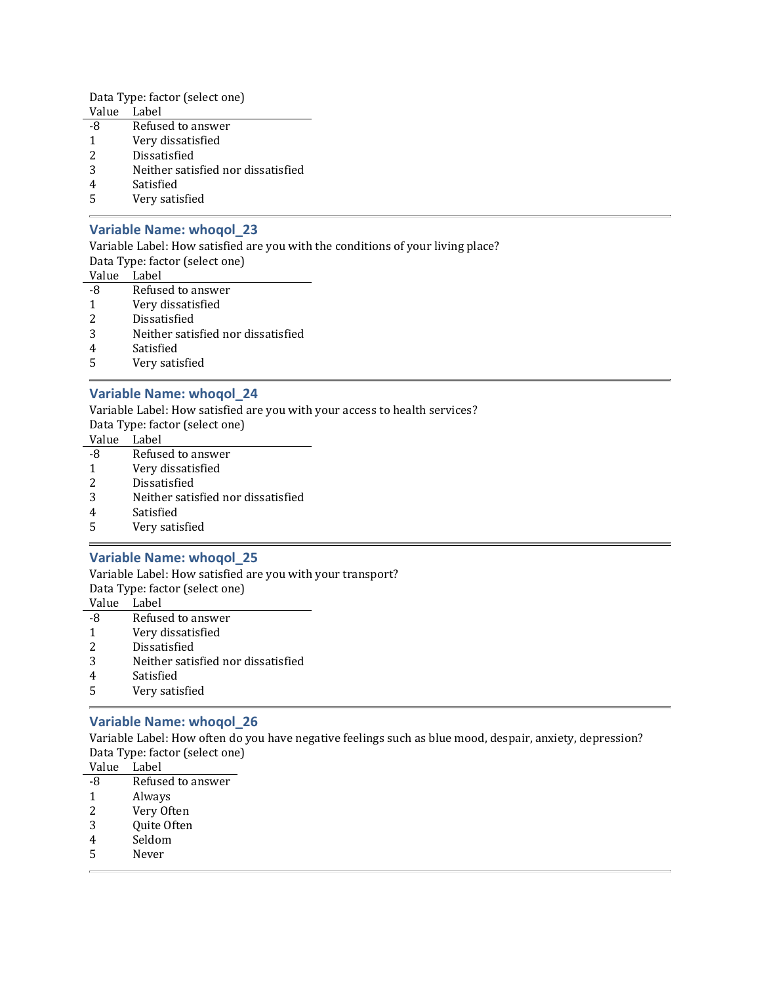Data Type: factor (select one)

- Value Label
- -8 Refused to answer
- 1 Very dissatisfied
- 2 Dissatisfied
- 3 Neither satisfied nor dissatisfied
- 4 Satisfied
- 5 Very satisfied

### Variable Name: whoqol\_23

Variable Label: How satisfied are you with the conditions of your living place?

Data Type: factor (select one)

Value Label

- -8 Refused to answer
- 1 Very dissatisfied
- 2 Dissatisfied
- 3 Neither satisfied nor dissatisfied
- 4 Satisfied
- 5 Very satisfied

### Variable Name: whoqol\_24

Variable Label: How satisfied are you with your access to health services?

Data Type: factor (select one)

Value Label

- -8 Refused to answer
- 1 Very dissatisfied
- 2 Dissatisfied
- 3 Neither satisfied nor dissatisfied
- 4 Satisfied
- 5 Very satisfied

#### Variable Name: whoqol\_25

Variable Label: How satisfied are you with your transport?

Data Type: factor (select one)

Value Label

- -8 Refused to answer
- 1 Very dissatisfied
- 2 Dissatisfied
- 3 Neither satisfied nor dissatisfied
- 4 Satisfied
- 5 Very satisfied

### Variable Name: whoqol\_26

Variable Label: How often do you have negative feelings such as blue mood, despair, anxiety, depression? Data Type: factor (select one)

Value Label

- -8 Refused to answer
- 1 Always
- 2 Very Often
- 3 Quite Often
- 4 Seldom
- 5 Never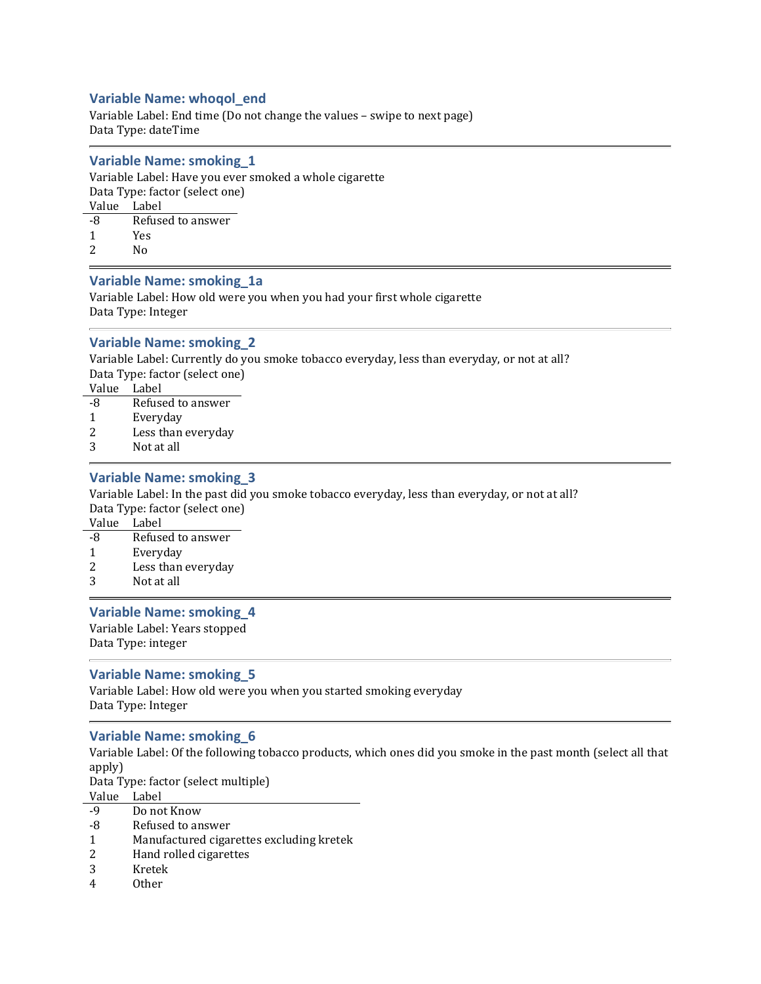### Variable Name: whoqol\_end

Variable Label: End time (Do not change the values – swipe to next page) Data Type: dateTime

#### Variable Name: smoking\_1

Variable Label: Have you ever smoked a whole cigarette Data Type: factor (select one) Value Label -8 Refused to answer 1 Yes

2 No

### Variable Name: smoking\_1a

Variable Label: How old were you when you had your first whole cigarette Data Type: Integer

### Variable Name: smoking\_2

Variable Label: Currently do you smoke tobacco everyday, less than everyday, or not at all? Data Type: factor (select one)

Value Label

- -8 Refused to answer
- 1 Everyday
- 2 Less than everyday
- 3 Not at all

### Variable Name: smoking\_3

Variable Label: In the past did you smoke tobacco everyday, less than everyday, or not at all? Data Type: factor (select one)

Value Label

- -8 Refused to answer
- 1 Everyday
- 2 Less than everyday
- 3 Not at all

#### Variable Name: smoking\_4

Variable Label: Years stopped Data Type: integer

#### Variable Name: smoking\_5

Variable Label: How old were you when you started smoking everyday Data Type: Integer

#### Variable Name: smoking\_6

Variable Label: Of the following tobacco products, which ones did you smoke in the past month (select all that apply) Data Type: factor (select multiple) Value Label

- -9 Do not Know
- -8 Refused to answer
- 1 Manufactured cigarettes excluding kretek
- 2 Hand rolled cigarettes
- 3 Kretek
- 4 Other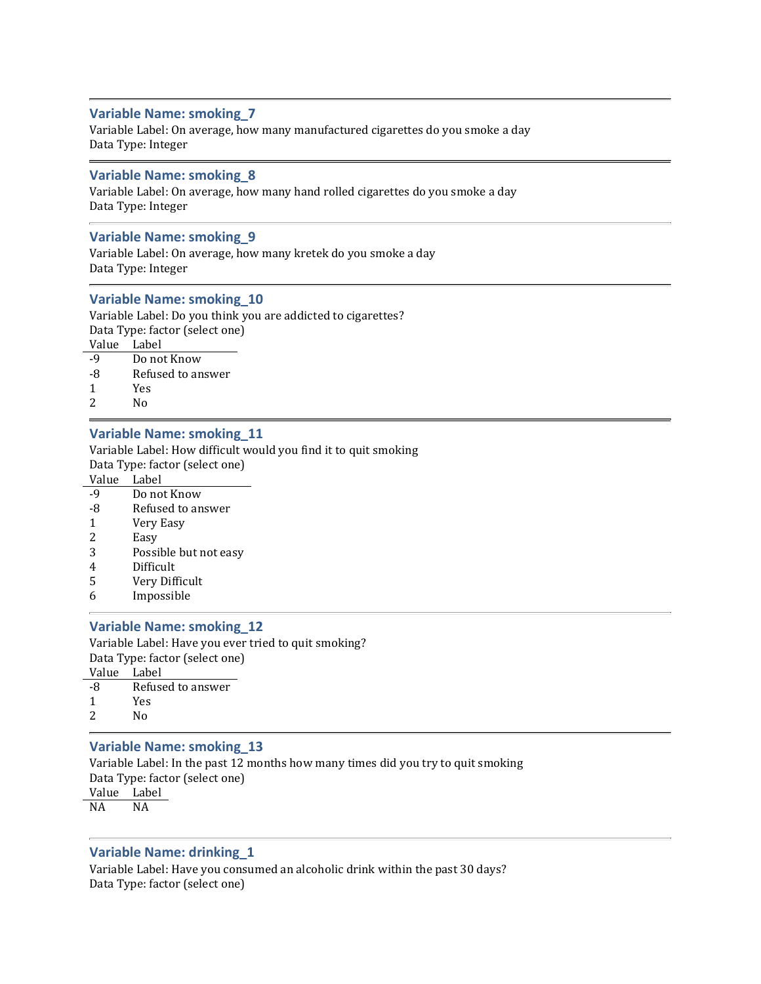#### Variable Name: smoking\_7

Variable Label: On average, how many manufactured cigarettes do you smoke a day Data Type: Integer

#### Variable Name: smoking\_8

Variable Label: On average, how many hand rolled cigarettes do you smoke a day Data Type: Integer

#### Variable Name: smoking\_9

Variable Label: On average, how many kretek do you smoke a day Data Type: Integer

#### Variable Name: smoking\_10

Variable Label: Do you think you are addicted to cigarettes? Data Type: factor (select one) Value Label

| -9 | Do not Know       |
|----|-------------------|
| -8 | Refused to answer |
| -1 | <b>Yes</b>        |

2 No

#### Variable Name: smoking\_11

Variable Label: How difficult would you find it to quit smoking Data Type: factor (select one)

Value Label

- -9 Do not Know
- -8 Refused to answer
- 1 Very Easy
- 2 Easy
- 3 Possible but not easy
- 4 Difficult
- 5 Very Difficult
- 6 Impossible

#### Variable Name: smoking\_12

Variable Label: Have you ever tried to quit smoking? Data Type: factor (select one) Value Label

| -8 | Refused to answer |
|----|-------------------|
| -1 | Yes               |
| 2  | N٥                |

#### Variable Name: smoking\_13

Variable Label: In the past 12 months how many times did you try to quit smoking Data Type: factor (select one) Value Label NA NA

#### Variable Name: drinking\_1

Variable Label: Have you consumed an alcoholic drink within the past 30 days? Data Type: factor (select one)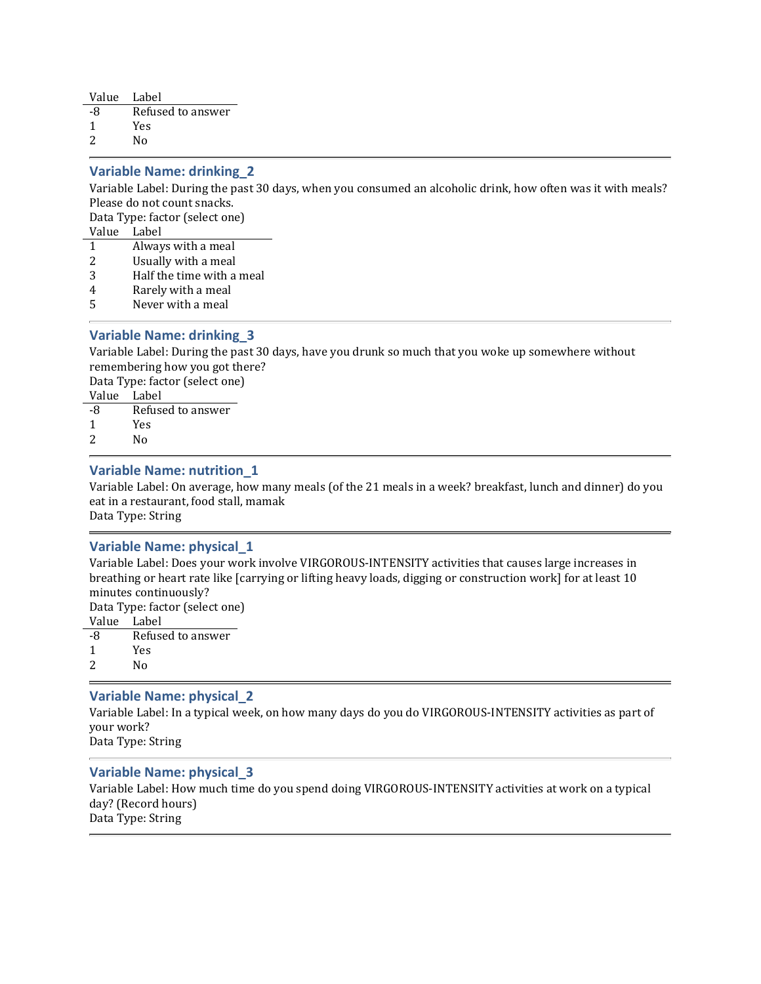| Value | Label             |
|-------|-------------------|
| -8    | Refused to answer |
| -1    | Yes               |
| 2     | N٥                |

### Variable Name: drinking\_2

Variable Label: During the past 30 days, when you consumed an alcoholic drink, how often was it with meals? Please do not count snacks.

Data Type: factor (select one)

Value Label

- 1 Always with a meal
- 2 Usually with a meal
- 3 Half the time with a meal
- 4 Rarely with a meal
- 5 Never with a meal

### Variable Name: drinking\_3

Variable Label: During the past 30 days, have you drunk so much that you woke up somewhere without remembering how you got there?

Data Type: factor (select one)

Value Label -8 Refused to answer 1 Yes

2 No

### Variable Name: nutrition\_1

Variable Label: On average, how many meals (of the 21 meals in a week? breakfast, lunch and dinner) do you eat in a restaurant, food stall, mamak

Data Type: String

### Variable Name: physical\_1

Variable Label: Does your work involve VIRGOROUS-INTENSITY activities that causes large increases in breathing or heart rate like [carrying or lifting heavy loads, digging or construction work] for at least 10 minutes continuously?

Data Type: factor (select one)

- Value Label
- -8 Refused to answer
- 1 Yes
- 2 No

### Variable Name: physical\_2

Variable Label: In a typical week, on how many days do you do VIRGOROUS-INTENSITY activities as part of your work?

Data Type: String

#### Variable Name: physical\_3

Variable Label: How much time do you spend doing VIRGOROUS-INTENSITY activities at work on a typical day? (Record hours) Data Type: String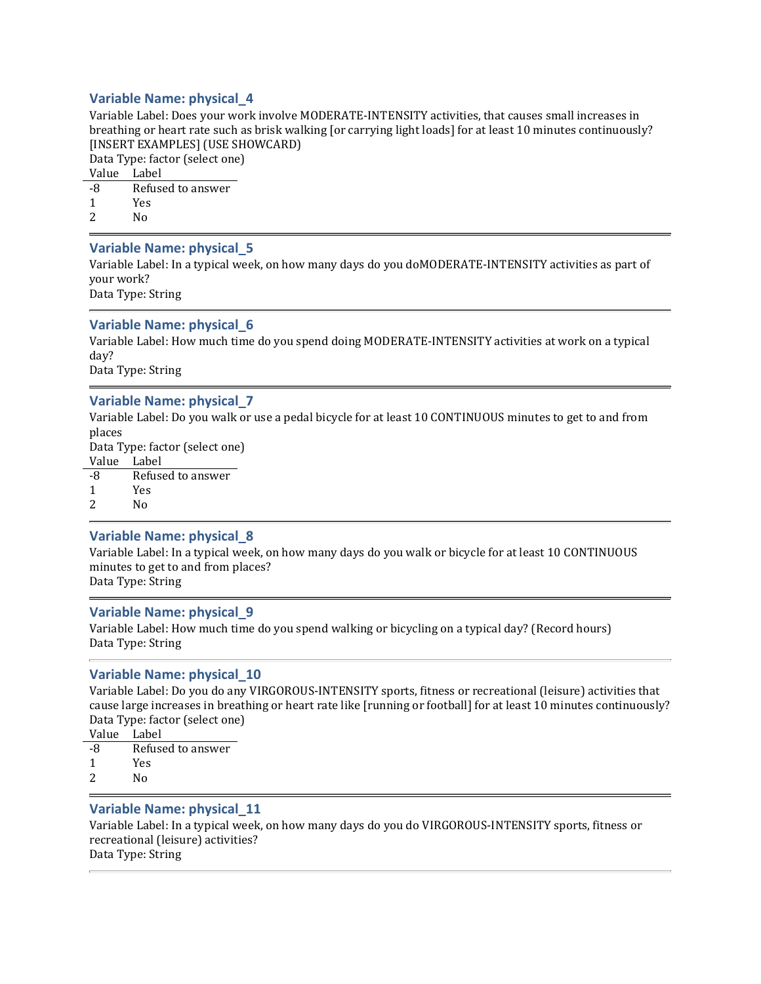### Variable Name: physical\_4

Variable Label: Does your work involve MODERATE-INTENSITY activities, that causes small increases in breathing or heart rate such as brisk walking [or carrying light loads] for at least 10 minutes continuously? [INSERT EXAMPLES] (USE SHOWCARD)

Data Type: factor (select one)

Value Label

-8 Refused to answer

1 Yes

2 No

### Variable Name: physical\_5

Variable Label: In a typical week, on how many days do you doMODERATE-INTENSITY activities as part of your work?

Data Type: String

### Variable Name: physical\_6

Variable Label: How much time do you spend doing MODERATE-INTENSITY activities at work on a typical day?

Data Type: String

### Variable Name: physical\_7

Variable Label: Do you walk or use a pedal bicycle for at least 10 CONTINUOUS minutes to get to and from places

Data Type: factor (select one)

Value Label

-8 Refused to answer

1 Yes

2 No

#### Variable Name: physical\_8

Variable Label: In a typical week, on how many days do you walk or bicycle for at least 10 CONTINUOUS minutes to get to and from places? Data Type: String

### Variable Name: physical\_9

Variable Label: How much time do you spend walking or bicycling on a typical day? (Record hours) Data Type: String

### Variable Name: physical\_10

Variable Label: Do you do any VIRGOROUS-INTENSITY sports, fitness or recreational (leisure) activities that cause large increases in breathing or heart rate like [running or football] for at least 10 minutes continuously? Data Type: factor (select one)

Value Label

- -8 Refused to answer
- 1 Yes
- 2 No

### Variable Name: physical\_11

Variable Label: In a typical week, on how many days do you do VIRGOROUS-INTENSITY sports, fitness or recreational (leisure) activities? Data Type: String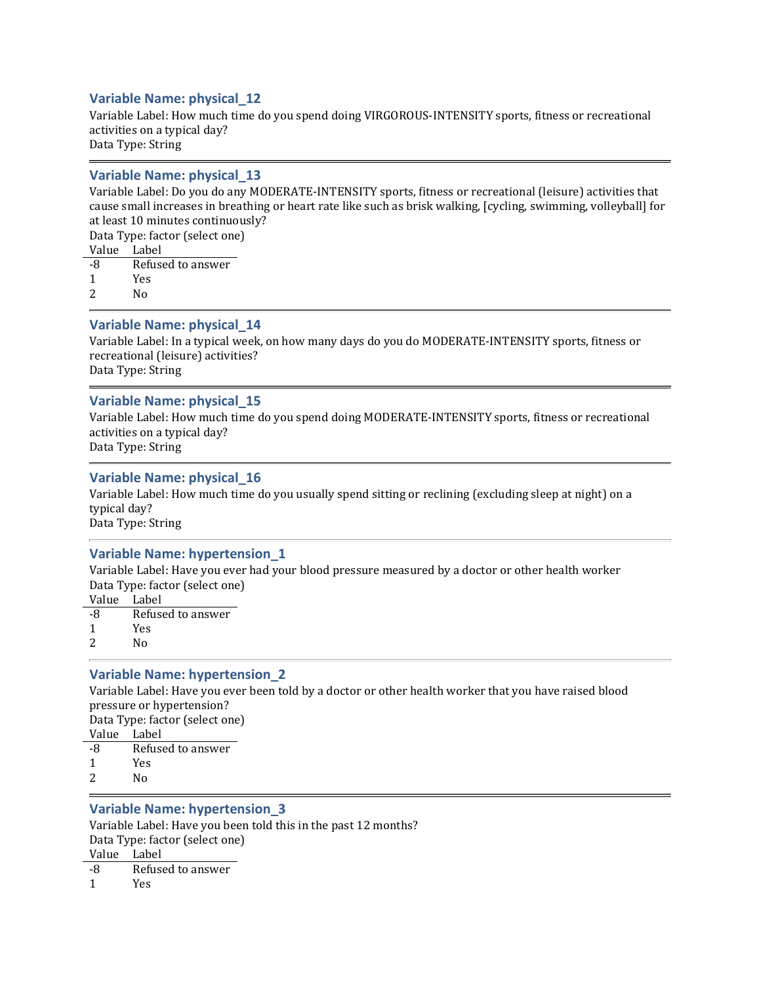### Variable Name: physical\_12

Variable Label: How much time do you spend doing VIRGOROUS-INTENSITY sports, fitness or recreational activities on a typical day? Data Type: String

#### Variable Name: physical\_13

Variable Label: Do you do any MODERATE-INTENSITY sports, fitness or recreational (leisure) activities that cause small increases in breathing or heart rate like such as brisk walking, [cycling, swimming, volleyball] for at least 10 minutes continuously?

Data Type: factor (select one)

Value Label -8 Refused to answer

1 Yes

2 No

### Variable Name: physical\_14

Variable Label: In a typical week, on how many days do you do MODERATE-INTENSITY sports, fitness or recreational (leisure) activities? Data Type: String

### Variable Name: physical\_15

Variable Label: How much time do you spend doing MODERATE-INTENSITY sports, fitness or recreational activities on a typical day? Data Type: String

### Variable Name: physical\_16

Variable Label: How much time do you usually spend sitting or reclining (excluding sleep at night) on a typical day? Data Type: String

#### Variable Name: hypertension\_1

Variable Label: Have you ever had your blood pressure measured by a doctor or other health worker Data Type: factor (select one)

- Value Label
- -8 Refused to answer
- 1 Yes
- 2 No

### Variable Name: hypertension\_2

Variable Label: Have you ever been told by a doctor or other health worker that you have raised blood pressure or hypertension? Data Type: factor (select one) Value Label -8 Refused to answer 1 Yes 2 No

### Variable Name: hypertension\_3

Variable Label: Have you been told this in the past 12 months? Data Type: factor (select one) Value Label -8 Refused to answer 1 Yes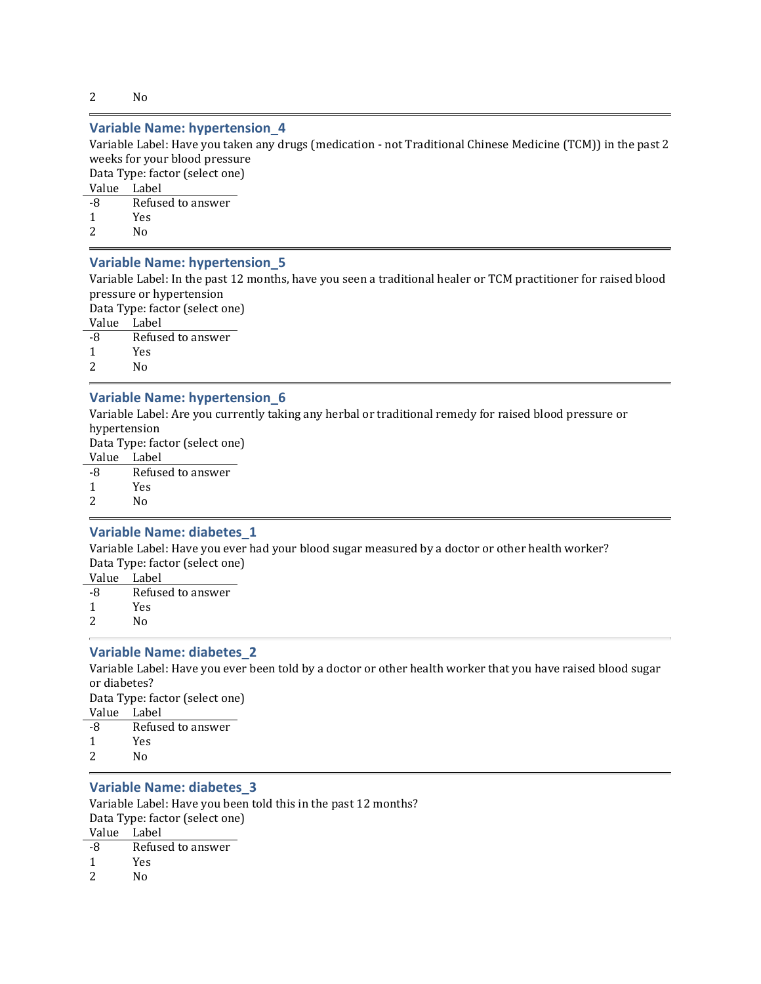2 No

### Variable Name: hypertension\_4

Variable Label: Have you taken any drugs (medication - not Traditional Chinese Medicine (TCM)) in the past 2 weeks for your blood pressure

Data Type: factor (select one)

Value Label

| -8 | Refused to answer |
|----|-------------------|
|    | <b>Yes</b>        |
| 2  | N٥                |

### Variable Name: hypertension\_5

Variable Label: In the past 12 months, have you seen a traditional healer or TCM practitioner for raised blood pressure or hypertension

Data Type: factor (select one) Value Label -8 Refused to answer

1 Yes

2 No

### Variable Name: hypertension\_6

Variable Label: Are you currently taking any herbal or traditional remedy for raised blood pressure or hypertension

Data Type: factor (select one)

Value Label -8 Refused to answer 1 Yes 2 No

### Variable Name: diabetes\_1

Variable Label: Have you ever had your blood sugar measured by a doctor or other health worker? Data Type: factor (select one)

Value Label -8 Refused to answer

1 Yes

2 No

### Variable Name: diabetes\_2

Variable Label: Have you ever been told by a doctor or other health worker that you have raised blood sugar or diabetes? Data Type: factor (select one) Value Label -8 Refused to answer

1 Yes

2 No

#### Variable Name: diabetes\_3

Variable Label: Have you been told this in the past 12 months? Data Type: factor (select one) Value Label -8 Refused to answer

- 
- 1 Yes
- 2 No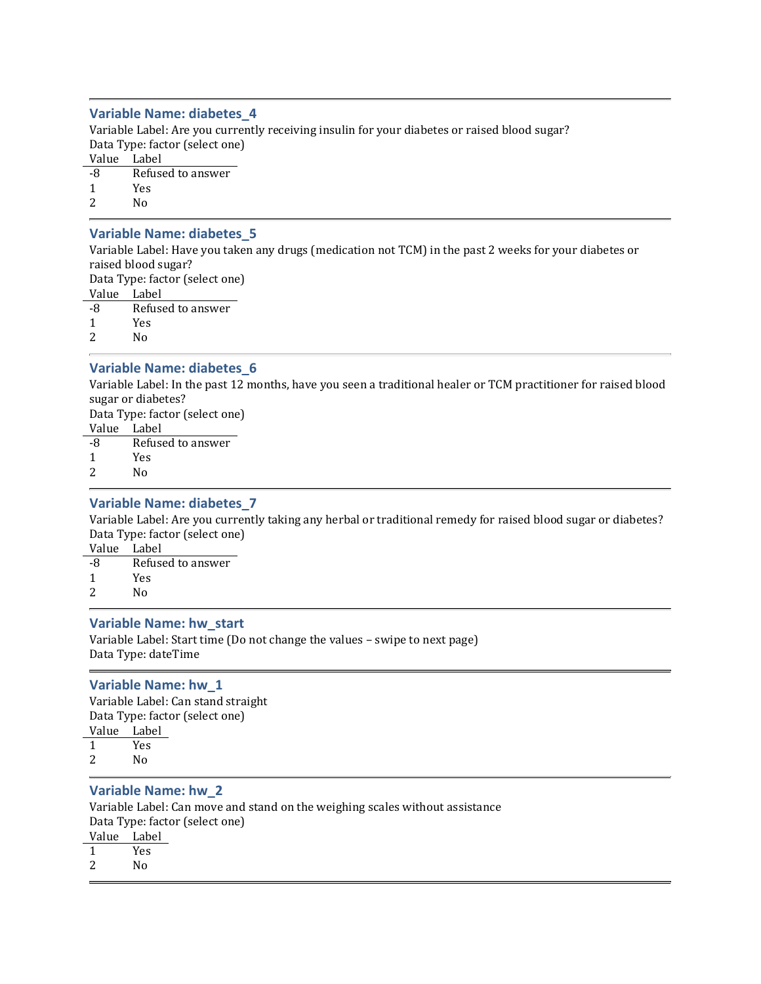### Variable Name: diabetes\_4

Variable Label: Are you currently receiving insulin for your diabetes or raised blood sugar? Data Type: factor (select one) Value Label -8 Refused to answer 1 Yes

2 No

### Variable Name: diabetes\_5

Variable Label: Have you taken any drugs (medication not TCM) in the past 2 weeks for your diabetes or raised blood sugar?

Data Type: factor (select one)

Value Label -8 Refused to answer 1 Yes

2 No

### Variable Name: diabetes\_6

Variable Label: In the past 12 months, have you seen a traditional healer or TCM practitioner for raised blood sugar or diabetes? Data Type: factor (select one)

Value Label

-8 Refused to answer

1 Yes

2 No

### Variable Name: diabetes\_7

Variable Label: Are you currently taking any herbal or traditional remedy for raised blood sugar or diabetes? Data Type: factor (select one)

Value Label -8 Refused to answer

- 1 Yes
- 2 No

### Variable Name: hw\_start

Variable Label: Start time (Do not change the values – swipe to next page) Data Type: dateTime

#### Variable Name: hw\_1

Variable Label: Can stand straight Data Type: factor (select one) Value Label 1 Yes 2 No

#### Variable Name: hw\_2

Variable Label: Can move and stand on the weighing scales without assistance Data Type: factor (select one)

- Value Label 1 Yes
- 2 No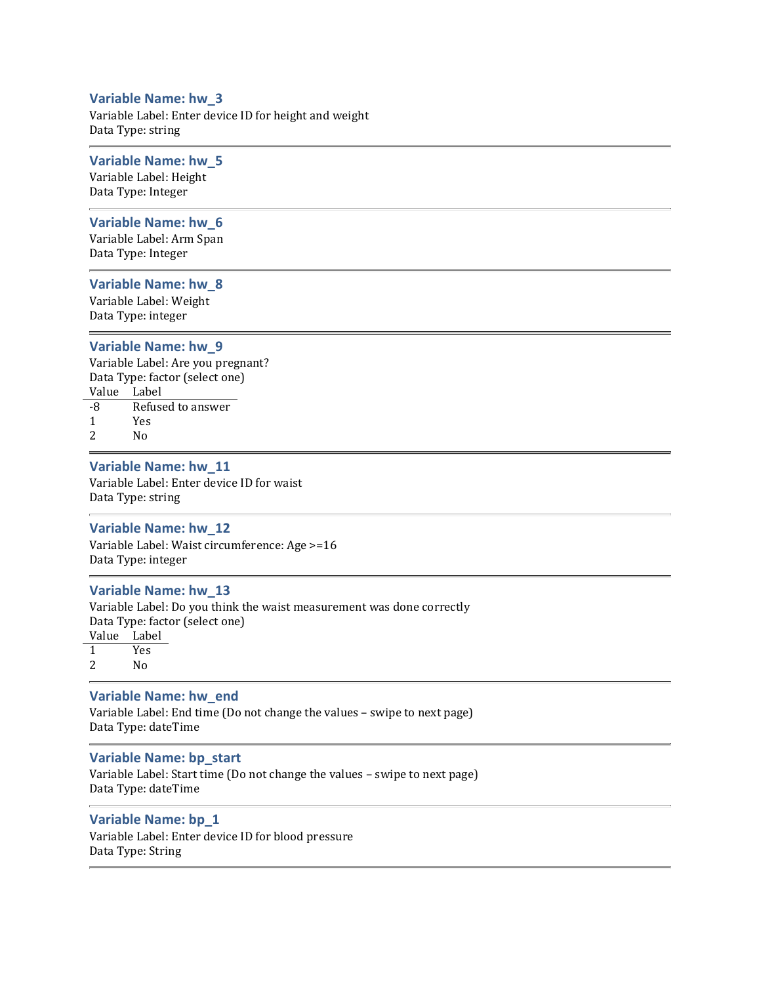#### Variable Name: hw\_3

Variable Label: Enter device ID for height and weight Data Type: string

### Variable Name: hw\_5

Variable Label: Height Data Type: Integer

#### Variable Name: hw\_6

Variable Label: Arm Span Data Type: Integer

#### Variable Name: hw\_8

Variable Label: Weight Data Type: integer

#### Variable Name: hw\_9

Variable Label: Are you pregnant? Data Type: factor (select one) Value Label -8 Refused to answer

- 1 Yes
- 2 No

### Variable Name: hw\_11

Variable Label: Enter device ID for waist Data Type: string

#### Variable Name: hw\_12

Variable Label: Waist circumference: Age >=16 Data Type: integer

#### Variable Name: hw\_13

Variable Label: Do you think the waist measurement was done correctly Data Type: factor (select one) Value Label 1 Yes 2 No

### Variable Name: hw\_end

Variable Label: End time (Do not change the values – swipe to next page) Data Type: dateTime

### Variable Name: bp\_start

Variable Label: Start time (Do not change the values – swipe to next page) Data Type: dateTime

### Variable Name: bp\_1

Variable Label: Enter device ID for blood pressure Data Type: String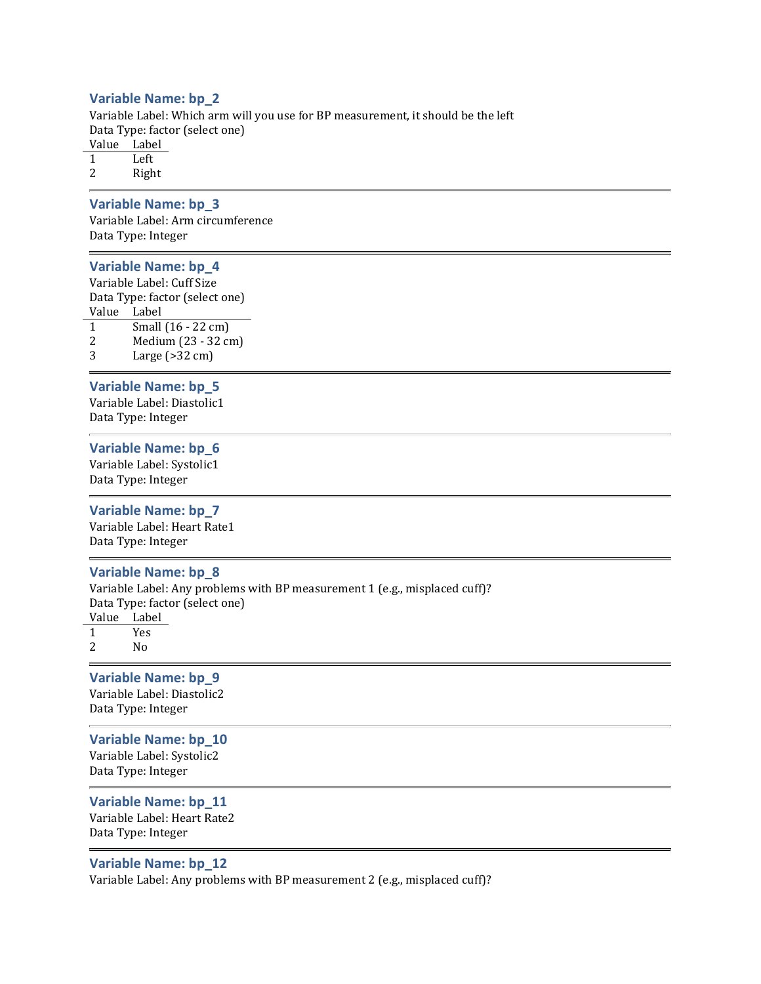#### Variable Name: bp\_2

Variable Label: Which arm will you use for BP measurement, it should be the left Data Type: factor (select one) Value Label

1 Left

2 Right

### Variable Name: bp\_3

Variable Label: Arm circumference Data Type: Integer

### Variable Name: bp\_4

Variable Label: Cuff Size Data Type: factor (select one) Value Label 1 Small (16 - 22 cm) 2 Medium (23 - 32 cm)

3 Large (>32 cm)

#### Variable Name: bp\_5

Variable Label: Diastolic1 Data Type: Integer

#### Variable Name: bp\_6

Variable Label: Systolic1 Data Type: Integer

#### Variable Name: bp\_7

Variable Label: Heart Rate1 Data Type: Integer

#### Variable Name: bp\_8

Variable Label: Any problems with BP measurement 1 (e.g., misplaced cuff)? Data Type: factor (select one) Value Label 1 Yes

2 No

## Variable Name: bp\_9 Variable Label: Diastolic2

Data Type: Integer

### Variable Name: bp\_10 Variable Label: Systolic2

Data Type: Integer

## Variable Name: bp\_11

Variable Label: Heart Rate2 Data Type: Integer

### Variable Name: bp\_12

Variable Label: Any problems with BP measurement 2 (e.g., misplaced cuff)?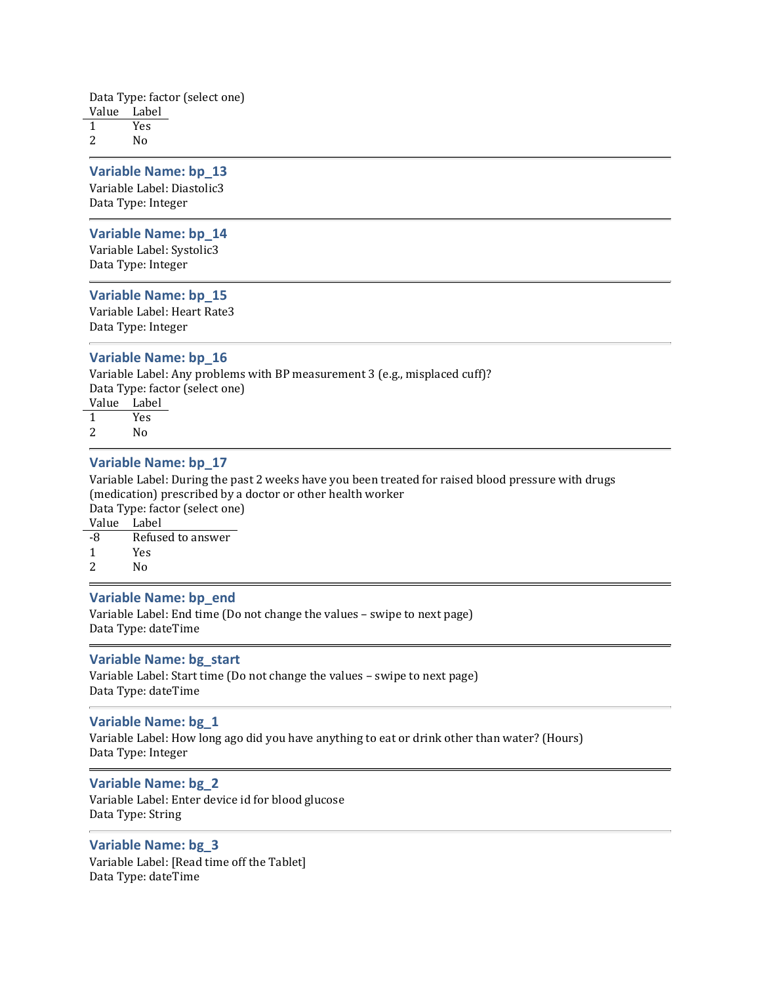Data Type: factor (select one) Value Label

1 Yes 2 No

### Variable Name: bp\_13

Variable Label: Diastolic3 Data Type: Integer

#### Variable Name: bp\_14

Variable Label: Systolic3 Data Type: Integer

#### Variable Name: bp\_15

Variable Label: Heart Rate3 Data Type: Integer

#### Variable Name: bp\_16

Variable Label: Any problems with BP measurement 3 (e.g., misplaced cuff)? Data Type: factor (select one) Value Label 1 Yes

2 No

#### Variable Name: bp\_17

Variable Label: During the past 2 weeks have you been treated for raised blood pressure with drugs (medication) prescribed by a doctor or other health worker Data Type: factor (select one)

Value Label

| -8 | Refused to answer |
|----|-------------------|
|    | <b>Yes</b>        |
| 2  | No                |

### Variable Name: bp\_end

Variable Label: End time (Do not change the values – swipe to next page) Data Type: dateTime

#### Variable Name: bg\_start

Variable Label: Start time (Do not change the values – swipe to next page) Data Type: dateTime

#### Variable Name: bg\_1

Variable Label: How long ago did you have anything to eat or drink other than water? (Hours) Data Type: Integer

#### Variable Name: bg\_2

Variable Label: Enter device id for blood glucose Data Type: String

### Variable Name: bg\_3

Variable Label: [Read time off the Tablet] Data Type: dateTime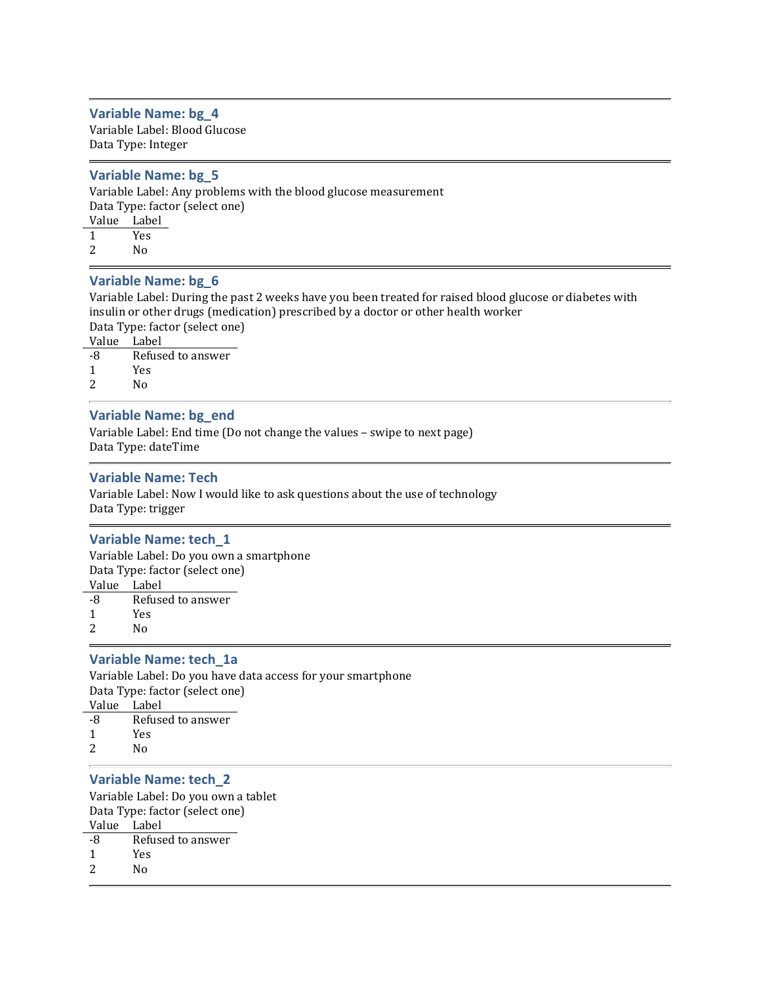### Variable Name: bg\_4

Variable Label: Blood Glucose Data Type: Integer

#### Variable Name: bg\_5

Variable Label: Any problems with the blood glucose measurement Data Type: factor (select one) Value Label 1 Yes 2 No

## Variable Name: bg\_6

Variable Label: During the past 2 weeks have you been treated for raised blood glucose or diabetes with insulin or other drugs (medication) prescribed by a doctor or other health worker Data Type: factor (select one)

Value Label

- -8 Refused to answer
- 1 Yes
- 2 No

### Variable Name: bg\_end

Variable Label: End time (Do not change the values – swipe to next page) Data Type: dateTime

#### Variable Name: Tech

Variable Label: Now I would like to ask questions about the use of technology Data Type: trigger

#### Variable Name: tech\_1

Variable Label: Do you own a smartphone Data Type: factor (select one) Value Label -8 Refused to answer

1 Yes

2 No

### Variable Name: tech\_1a

Variable Label: Do you have data access for your smartphone Data Type: factor (select one) Value Label -8 Refused to answer 1 Yes

2 No

#### Variable Name: tech\_2

Variable Label: Do you own a tablet Data Type: factor (select one) Value Label -8 Refused to answer

- 1 Yes
- 2 No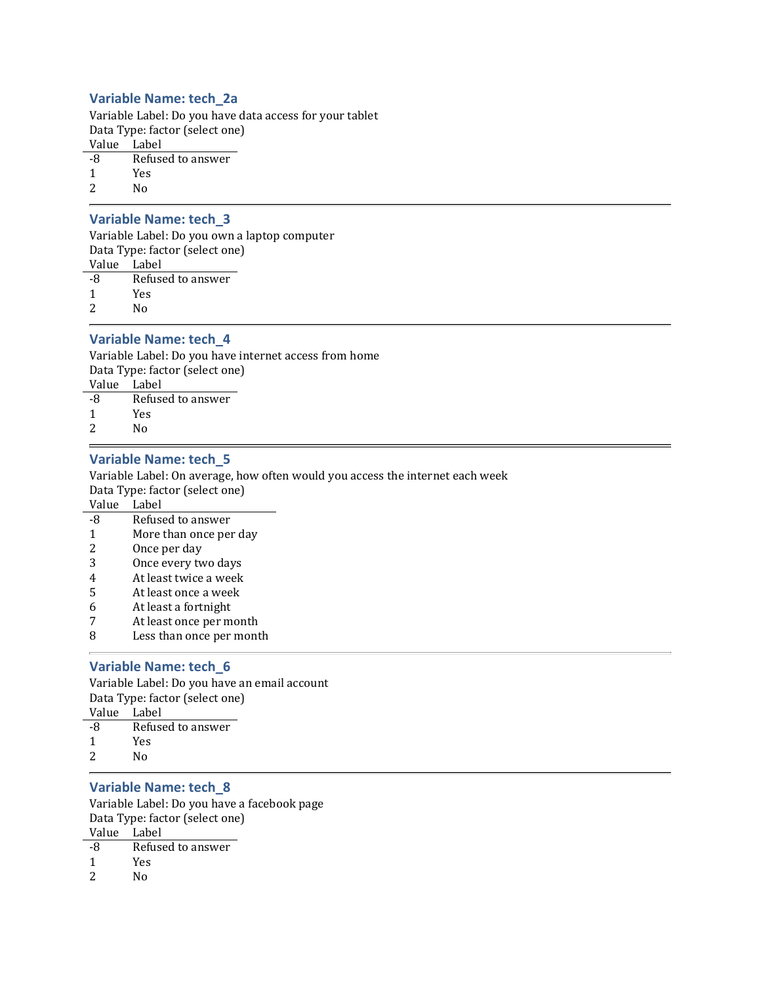### Variable Name: tech\_2a

Variable Label: Do you have data access for your tablet Data Type: factor (select one) Value Label -8 Refused to answer

1 Yes 2  $N_0$ 

### Variable Name: tech\_3

Variable Label: Do you own a laptop computer Data Type: factor (select one) Value Label -8 Refused to answer 1 Yes

2 No

### Variable Name: tech\_4

Variable Label: Do you have internet access from home Data Type: factor (select one) Value Label -8 Refused to answer 1 Yes 2 No

#### Variable Name: tech\_5

Variable Label: On average, how often would you access the internet each week Data Type: factor (select one)

Value Label

- -8 Refused to answer
- 1 More than once per day
- 2 Once per day
- 3 Once every two days
- 4 At least twice a week
- 5 At least once a week
- 6 At least a fortnight
- 7 At least once per month
- 8 Less than once per month

#### Variable Name: tech\_6

Variable Label: Do you have an email account Data Type: factor (select one) Value Label -8 Refused to answer 1 Yes

2 No

# Variable Name: tech\_8

Variable Label: Do you have a facebook page Data Type: factor (select one) Value Label

- -8 Refused to answer
- 1 Yes
- 2 No